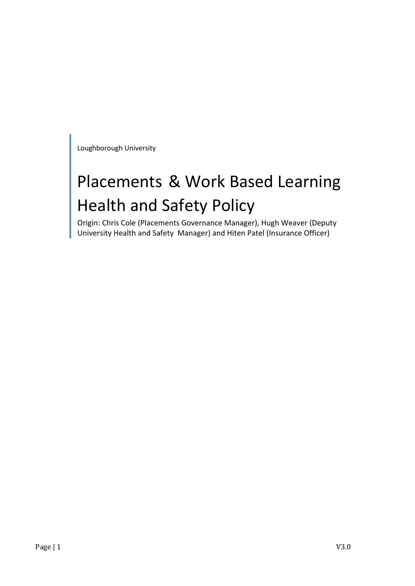Loughborough University

# Placements & Work Based Learning Health and Safety Policy

Origin: Chris Cole (Placements Governance Manager), Hugh Weaver (Deputy University Health and Safety Manager) and Hiten Patel (Insurance Officer)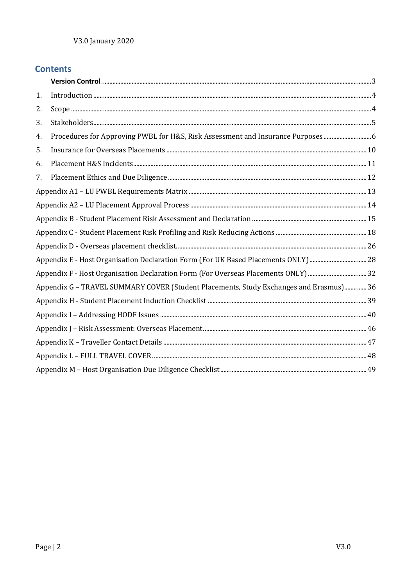## **Contents**

| 1. |                                                                                        |  |  |  |  |
|----|----------------------------------------------------------------------------------------|--|--|--|--|
| 2. |                                                                                        |  |  |  |  |
| 3. |                                                                                        |  |  |  |  |
| 4. | Procedures for Approving PWBL for H&S, Risk Assessment and Insurance Purposes6         |  |  |  |  |
| 5. |                                                                                        |  |  |  |  |
| 6. |                                                                                        |  |  |  |  |
| 7. |                                                                                        |  |  |  |  |
|    |                                                                                        |  |  |  |  |
|    |                                                                                        |  |  |  |  |
|    |                                                                                        |  |  |  |  |
|    |                                                                                        |  |  |  |  |
|    |                                                                                        |  |  |  |  |
|    |                                                                                        |  |  |  |  |
|    |                                                                                        |  |  |  |  |
|    | Appendix G - TRAVEL SUMMARY COVER (Student Placements, Study Exchanges and Erasmus) 36 |  |  |  |  |
|    |                                                                                        |  |  |  |  |
|    |                                                                                        |  |  |  |  |
|    |                                                                                        |  |  |  |  |
|    |                                                                                        |  |  |  |  |
|    |                                                                                        |  |  |  |  |
|    |                                                                                        |  |  |  |  |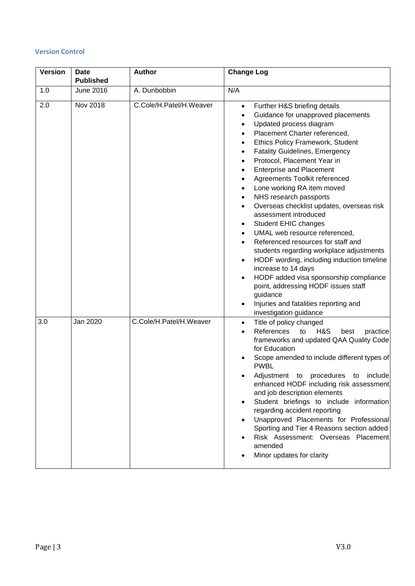#### <span id="page-2-0"></span>**Version Control**

| <b>Version</b> | <b>Date</b><br><b>Published</b> | <b>Author</b>           | <b>Change Log</b>                                                                                                                                                                                                                                                                                                                                                                                                                                                                                                                                                                                                                                                                                                                                                                                                                                                                    |
|----------------|---------------------------------|-------------------------|--------------------------------------------------------------------------------------------------------------------------------------------------------------------------------------------------------------------------------------------------------------------------------------------------------------------------------------------------------------------------------------------------------------------------------------------------------------------------------------------------------------------------------------------------------------------------------------------------------------------------------------------------------------------------------------------------------------------------------------------------------------------------------------------------------------------------------------------------------------------------------------|
| 1.0            | <b>June 2016</b>                | A. Dunbobbin            | N/A                                                                                                                                                                                                                                                                                                                                                                                                                                                                                                                                                                                                                                                                                                                                                                                                                                                                                  |
| 2.0            | Nov 2018                        | C.Cole/H.Patel/H.Weaver | Further H&S briefing details<br>$\bullet$<br>Guidance for unapproved placements<br>Updated process diagram<br>$\bullet$<br>Placement Charter referenced,<br><b>Ethics Policy Framework, Student</b><br>٠<br><b>Fatality Guidelines, Emergency</b><br>Protocol, Placement Year in<br><b>Enterprise and Placement</b><br>Agreements Toolkit referenced<br>Lone working RA item moved<br>NHS research passports<br>Overseas checklist updates, overseas risk<br>assessment introduced<br>Student EHIC changes<br>٠<br>UMAL web resource referenced,<br>Referenced resources for staff and<br>students regarding workplace adjustments<br>HODF wording, including induction timeline<br>$\bullet$<br>increase to 14 days<br>HODF added visa sponsorship compliance<br>point, addressing HODF issues staff<br>guidance<br>Injuries and fatalities reporting and<br>investigation guidance |
| 3.0            | Jan 2020                        | C.Cole/H.Patel/H.Weaver | Title of policy changed<br>$\bullet$<br>References<br>H&S<br>to<br>best<br>practice<br>frameworks and updated QAA Quality Code<br>for Education<br>Scope amended to include different types of<br><b>PWBL</b><br>include<br>Adjustment to procedures to<br>enhanced HODF including risk assessment<br>and job description elements<br>Student briefings to include information<br>regarding accident reporting<br>Unapproved Placements for Professional<br>Sporting and Tier 4 Reasons section added<br>Risk Assessment: Overseas Placement<br>amended<br>Minor updates for clarity                                                                                                                                                                                                                                                                                                 |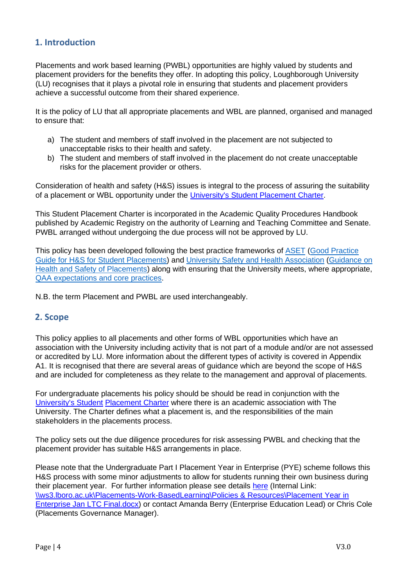## <span id="page-3-0"></span>**1. Introduction**

Placements and work based learning (PWBL) opportunities are highly valued by students and placement providers for the benefits they offer. In adopting this policy, Loughborough University (LU) recognises that it plays a pivotal role in ensuring that students and placement providers achieve a successful outcome from their shared experience.

It is the policy of LU that all appropriate placements and WBL are planned, organised and managed to ensure that:

- a) The student and members of staff involved in the placement are not subjected to unacceptable risks to their health and safety.
- b) The student and members of staff involved in the placement do not create unacceptable risks for the placement provider or others.

Consideration of health and safety (H&S) issues is integral to the process of assuring the suitability of a placement or WBL opportunity under th[e](http://www.lboro.ac.uk/admin/ar/policy/aqp/appendix/11/index.htm) [University's Student Placement Charter.](http://www.lboro.ac.uk/admin/ar/policy/aqp/appendix/11/index.htm) 

This Student Placement Charter is incorporated in the Academic Quality Procedures Handbook published by Academic Registry on the authority of Learning and Teaching Committee and Senate. PWBL arranged without undergoing the due process will not be approved by LU.

This policy has been developed following the best practice frameworks of [ASET](https://www.asetonline.org/) [\(Good Practice](http://www.asetonline.org/wp-content/uploads/2016/09/ASET-Health-Safety-for-Student-Placements-2016.pdf)  [Guide for H&S for Student Placements\)](http://www.asetonline.org/wp-content/uploads/2016/09/ASET-Health-Safety-for-Student-Placements-2016.pdf) and [University Safety and Health Association](https://www.usha.org.uk/) [\(Guidance on](https://www.usha.org.uk/images/stories/files/guidance-documents/MASTER_Health-and-Safety-of-Placements-Guide.pdf)  [Health and Safety of Placements\)](https://www.usha.org.uk/images/stories/files/guidance-documents/MASTER_Health-and-Safety-of-Placements-Guide.pdf) along with ensuring that the University meets, where appropriate, [QAA expectations and core practices.](https://www.qaa.ac.uk/quality-code/advice-and-guidance)

N.B. the term Placement and PWBL are used interchangeably.

## <span id="page-3-1"></span>**2. Scope**

This policy applies to all placements and other forms of WBL opportunities which have an association with the University including activity that is not part of a module and/or are not assessed or accredited by LU. More information about the different types of activity is covered in Appendix A1. It is recognised that there are several areas of guidance which are beyond the scope of H&S and are included for completeness as they relate to the management and approval of placements.

For undergraduate placements his policy should be should be read in conjunction with the [University's Student](http://www.lboro.ac.uk/admin/ar/policy/aqp/appendix/11/index.htm) [Placement Charter](http://www.lboro.ac.uk/admin/ar/policy/aqp/appendix/11/index.htm) where there is an academic association with The Universit[y.](http://www.lboro.ac.uk/admin/ar/policy/aqp/appendix/11/index.htm) The Charter defines what a placement is, and the responsibilities of the main stakeholders in the placements process.

The policy sets out the due diligence procedures for risk assessing PWBL and checking that the placement provider has suitable H&S arrangements in place.

Please note that the Undergraduate Part I Placement Year in Enterprise (PYE) scheme follows this H&S process with some minor adjustments to allow for students running their own business during their placement year. For further information please see details [here](file://///ws3.lboro.ac.uk/Placements-Work-Based-Learning/Policies%20&%20Resources/Placement%20Year%20in%20Enterprise%20Jan%20LTC%20Final.docx) (Internal Link: [\\ws3.lboro.ac.uk\Placements-Work-BasedLearning\Policies & Resources\Placement Year in](file://///ws3.lboro.ac.uk/Placements-Work-Based-Learning/Policies%20&%20Resources/Placement%20Year%20in%20Enterprise%20Jan%20LTC%20Final.docx)  [Enterprise Jan LTC Final.docx\)](file://///ws3.lboro.ac.uk/Placements-Work-Based-Learning/Policies%20&%20Resources/Placement%20Year%20in%20Enterprise%20Jan%20LTC%20Final.docx) or contact Amanda Berry (Enterprise Education Lead) or Chris Cole (Placements Governance Manager).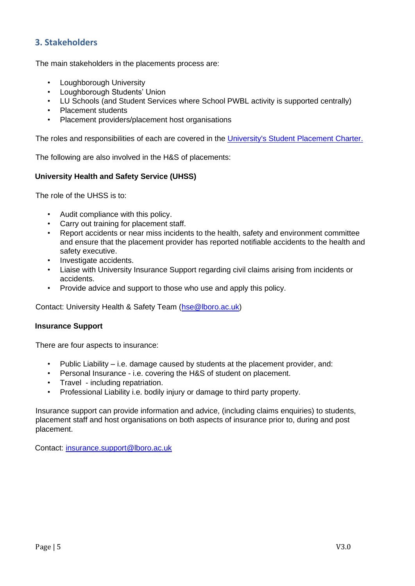## <span id="page-4-0"></span>**3. Stakeholders**

The main stakeholders in the placements process are:

- Loughborough University
- Loughborough Students' Union
- LU Schools (and Student Services where School PWBL activity is supported centrally)
- Placement students
- Placement providers/placement host organisations

The roles and responsibilities of each are covered in the [University's Student Placement Charter.](http://www.lboro.ac.uk/admin/ar/policy/aqp/appendix/11/index.htm) 

The following are also involved in the H&S of placements:

#### **University Health and Safety Service (UHSS)**

The role of the UHSS is to:

- Audit compliance with this policy.
- Carry out training for placement staff.
- Report accidents or near miss incidents to the health, safety and environment committee and ensure that the placement provider has reported notifiable accidents to the health and safety executive.
- Investigate accidents.
- Liaise with University Insurance Support regarding civil claims arising from incidents or accidents.
- Provide advice and support to those who use and apply this policy.

Contact: University Health & Safety Team (hse @lboro.ac.uk)

#### **Insurance Support**

There are four aspects to insurance:

- Public Liability  $-$  i.e. damage caused by students at the placement provider, and:
- Personal Insurance i.e. covering the H&S of student on placement.
- Travel including repatriation.
- Professional Liability i.e. bodily injury or damage to third party property.

Insurance support can provide information and advice, (including claims enquiries) to students, placement staff and host organisations on both aspects of insurance prior to, during and post placement.

Contact: insurance.support@lboro.ac.uk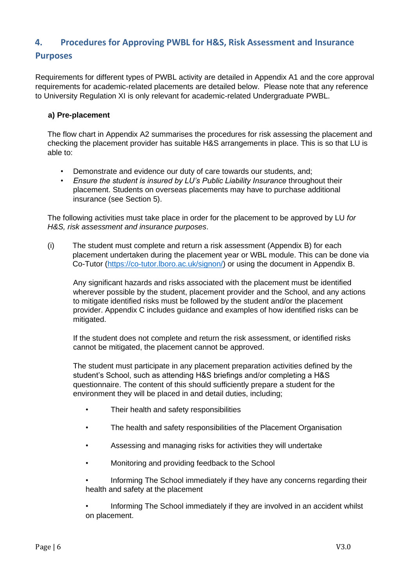## <span id="page-5-0"></span>**4. Procedures for Approving PWBL for H&S, Risk Assessment and Insurance**

## **Purposes**

Requirements for different types of PWBL activity are detailed in Appendix A1 and the core approval requirements for academic-related placements are detailed below. Please note that any reference to University Regulation XI is only relevant for academic-related Undergraduate PWBL.

#### **a) Pre-placement**

The flow chart in Appendix A2 summarises the procedures for risk assessing the placement and checking the placement provider has suitable H&S arrangements in place. This is so that LU is able to:

- Demonstrate and evidence our duty of care towards our students, and;
- *Ensure the student is insured by LU's Public Liability Insurance* throughout their placement. Students on overseas placements may have to purchase additional insurance (see Section 5).

The following activities must take place in order for the placement to be approved by LU *for H&S, risk assessment and insurance purposes*.

(i) The student must complete and return a risk assessment (Appendix B) for each placement undertaken during the placement year or WBL module. This can be done via Co-Tutor [\(https://co-tutor.lboro.ac.uk/signon/](https://co-tutor.lboro.ac.uk/signon/)[\)](https://myplacement.lboro.ac.uk/signon/) or using the document in Appendix B.

Any significant hazards and risks associated with the placement must be identified wherever possible by the student, placement provider and the School, and any actions to mitigate identified risks must be followed by the student and/or the placement provider. Appendix C includes guidance and examples of how identified risks can be mitigated.

If the student does not complete and return the risk assessment, or identified risks cannot be mitigated, the placement cannot be approved.

The student must participate in any placement preparation activities defined by the student's School, such as attending H&S briefings and/or completing a H&S questionnaire. The content of this should sufficiently prepare a student for the environment they will be placed in and detail duties, including;

- Their health and safety responsibilities
- The health and safety responsibilities of the Placement Organisation
- Assessing and managing risks for activities they will undertake
- Monitoring and providing feedback to the School

• Informing The School immediately if they have any concerns regarding their health and safety at the placement

• Informing The School immediately if they are involved in an accident whilst on placement.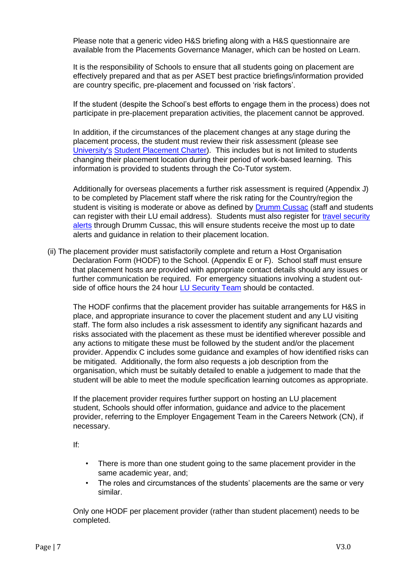Please note that a generic video H&S briefing along with a H&S questionnaire are available from the Placements Governance Manager, which can be hosted on Learn.

It is the responsibility of Schools to ensure that all students going on placement are effectively prepared and that as per ASET best practice briefings/information provided are country specific, pre-placement and focussed on 'risk factors'.

If the student (despite the School's best efforts to engage them in the process) does not participate in pre-placement preparation activities, the placement cannot be approved.

In addition, if the circumstances of the placement changes at any stage during the placement process, the student must review their risk assessment (please see [University's](http://www.lboro.ac.uk/admin/ar/policy/aqp/appendix/11/index.htm) [Student Placement Charter\).](http://www.lboro.ac.uk/admin/ar/policy/aqp/appendix/11/index.htm) This includes but is not limited to students changing their placement location during their period of work-based learning. This information is provided to students through the Co-Tutor system.

Additionally for overseas placements a further risk assessment is required (Appendix J) to be completed by Placement staff where the risk rating for the Country/region the student is visiting is moderate or above as defined by [Drumm Cussac](https://www.drum-cussac.net/login) (staff and students can register with their LU email address). Students must also register for travel security alerts through Drumm Cussac, this will ensure students receive the most up to date alerts and guidance in relation to their placement location.

(ii) The placement provider must satisfactorily complete and return a Host Organisation Declaration Form (HODF) to the School. (Appendix E or F). School staff must ensure that placement hosts are provided with appropriate contact details should any issues or further communication be required. For emergency situations involving a student out-side of office hours the 24 hour [LU Security Team](http://www.lboro.ac.uk/services/security/) should be contacted.

The HODF confirms that the placement provider has suitable arrangements for H&S in place, and appropriate insurance to cover the placement student and any LU visiting staff. The form also includes a risk assessment to identify any significant hazards and risks associated with the placement as these must be identified wherever possible and any actions to mitigate these must be followed by the student and/or the placement provider. Appendix C includes some guidance and examples of how identified risks can be mitigated. Additionally, the form also requests a job description from the organisation, which must be suitably detailed to enable a judgement to made that the student will be able to meet the module specification learning outcomes as appropriate.

If the placement provider requires further support on hosting an LU placement student, Schools should offer information, guidance and advice to the placement provider, referring to the Employer Engagement Team in the Careers Network (CN), if necessary.

If:

- There is more than one student going to the same placement provider in the same academic year, and;
- The roles and circumstances of the students' placements are the same or very similar.

Only one HODF per placement provider (rather than student placement) needs to be completed.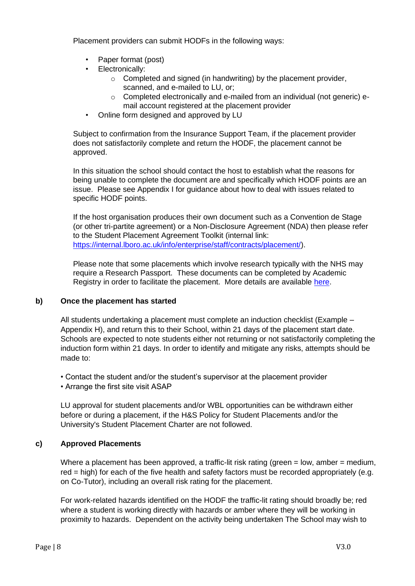Placement providers can submit HODFs in the following ways:

- Paper format (post)
- Electronically:
	- $\circ$  Completed and signed (in handwriting) by the placement provider, scanned, and e-mailed to LU, or;
	- o Completed electronically and e-mailed from an individual (not generic) email account registered at the placement provider
- Online form designed and approved by LU

Subject to confirmation from the Insurance Support Team, if the placement provider does not satisfactorily complete and return the HODF, the placement cannot be approved.

In this situation the school should contact the host to establish what the reasons for being unable to complete the document are and specifically which HODF points are an issue. Please see Appendix I for guidance about how to deal with issues related to specific HODF points.

If the host organisation produces their own document such as a Convention de Stage (or other tri-partite agreement) or a Non-Disclosure Agreement (NDA) then please refer to the Student Placement Agreement Toolkit (internal link: [https://internal.lboro.ac.uk/info/enterprise/staff/contracts/placement/\).](https://internal.lboro.ac.uk/info/enterprise/staff/contracts/placement/)

Please note that some placements which involve research typically with the NHS may require a Research Passport. These documents can be completed by Academic Registry in order to facilitate the placement. More details are available [here.](http://www.lboro.ac.uk/committees/ethics-approvals-human-participants/additionalinformation/nhsresearch/nhsresearchpassports/)

#### **b) Once the placement has started**

All students undertaking a placement must complete an induction checklist (Example – Appendix H), and return this to their School, within 21 days of the placement start date. Schools are expected to note students either not returning or not satisfactorily completing the induction form within 21 days. In order to identify and mitigate any risks, attempts should be made to:

• Contact the student and/or the student's supervisor at the placement provider

• Arrange the first site visit ASAP

LU approval for student placements and/or WBL opportunities can be withdrawn either before or during a placement, if the H&S Policy for Student Placements and/or the University's Student Placement Charter are not followed.

## **c) Approved Placements**

Where a placement has been approved, a traffic-lit risk rating (green = low, amber = medium, red = high) for each of the five health and safety factors must be recorded appropriately (e.g. on Co-Tutor), including an overall risk rating for the placement.

For work-related hazards identified on the HODF the traffic-lit rating should broadly be; red where a student is working directly with hazards or amber where they will be working in proximity to hazards. Dependent on the activity being undertaken The School may wish to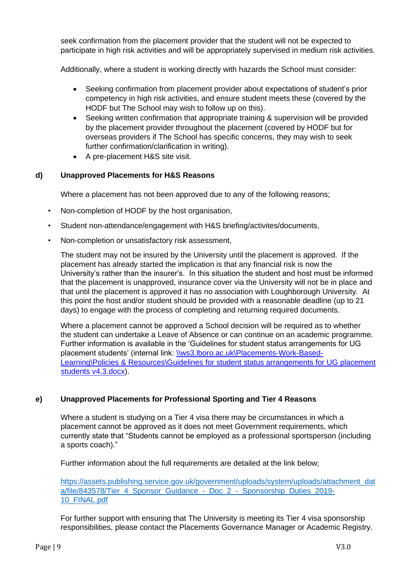seek confirmation from the placement provider that the student will not be expected to participate in high risk activities and will be appropriately supervised in medium risk activities.

Additionally, where a student is working directly with hazards the School must consider:

- Seeking confirmation from placement provider about expectations of student's prior competency in high risk activities, and ensure student meets these (covered by the HODF but The School may wish to follow up on this).
- Seeking written confirmation that appropriate training & supervision will be provided by the placement provider throughout the placement (covered by HODF but for overseas providers if The School has specific concerns, they may wish to seek further confirmation/clarification in writing).
- A pre-placement H&S site visit.

#### **d) Unapproved Placements for H&S Reasons**

Where a placement has not been approved due to any of the following reasons;

- Non-completion of HODF by the host organisation,
- Student non-attendance/engagement with H&S briefing/activites/documents,
- Non-completion or unsatisfactory risk assessment,

The student may not be insured by the University until the placement is approved. If the placement has already started the implication is that any financial risk is now the University's rather than the insurer's. In this situation the student and host must be informed that the placement is unapproved, insurance cover via the University will not be in place and that until the placement is approved it has no association with Loughborough University. At this point the host and/or student should be provided with a reasonable deadline (up to 21 days) to engage with the process of completing and returning required documents.

Where a placement cannot be approved a School decision will be required as to whether the student can undertake a Leave of Absence or can continue on an academic programme. Further information is available in the 'Guidelines for student status arrangements for UG placement students' (internal link: [\\ws3.lboro.ac.uk\Placements-Work-Based-](file://///ws3.lboro.ac.uk/Placements-Work-Based-Learning/Policies%20&%20Resources/Guidelines%20for%20student%20status%20arrangements%20for%20UG%20placement%20students%20v4.3.docx)[Learning\Policies & Resources\Guidelines for student status arrangements for UG placement](file://///ws3.lboro.ac.uk/Placements-Work-Based-Learning/Policies%20&%20Resources/Guidelines%20for%20student%20status%20arrangements%20for%20UG%20placement%20students%20v4.3.docx) [students v4.3.docx\).](file://///ws3.lboro.ac.uk/Placements-Work-Based-Learning/Policies%20&%20Resources/Guidelines%20for%20student%20status%20arrangements%20for%20UG%20placement%20students%20v4.3.docx)

## **e) Unapproved Placements for Professional Sporting and Tier 4 Reasons**

Where a student is studying on a Tier 4 visa there may be circumstances in which a placement cannot be approved as it does not meet Government requirements, which currently state that "Students cannot be employed as a professional sportsperson (including a sports coach)."

Further information about the full requirements are detailed at the link below;

[https://assets.publishing.service.gov.uk/government/uploads/system/uploads/attachment\\_dat](https://assets.publishing.service.gov.uk/government/uploads/system/uploads/attachment_data/file/843578/Tier_4_Sponsor_Guidance_-_Doc_2_-_Sponsorship_Duties_2019-10_FINAL.pdf) [a/file/843578/Tier\\_4\\_Sponsor\\_Guidance\\_-\\_Doc\\_2\\_-\\_Sponsorship\\_Duties\\_2019-](https://assets.publishing.service.gov.uk/government/uploads/system/uploads/attachment_data/file/843578/Tier_4_Sponsor_Guidance_-_Doc_2_-_Sponsorship_Duties_2019-10_FINAL.pdf) [10\\_FINAL.pdf](https://assets.publishing.service.gov.uk/government/uploads/system/uploads/attachment_data/file/843578/Tier_4_Sponsor_Guidance_-_Doc_2_-_Sponsorship_Duties_2019-10_FINAL.pdf)

For further support with ensuring that The University is meeting its Tier 4 visa sponsorship responsibilities, please contact the Placements Governance Manager or Academic Registry.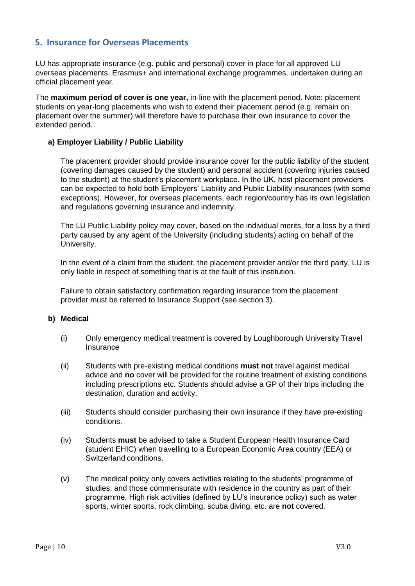## <span id="page-9-0"></span>**5. Insurance for Overseas Placements**

LU has appropriate insurance (e.g. public and personal) cover in place for all approved LU overseas placements, Erasmus+ and international exchange programmes, undertaken during an official placement year.

The **maximum period of cover is one year,** in-line with the placement period. Note: placement students on year-long placements who wish to extend their placement period (e.g. remain on placement over the summer) will therefore have to purchase their own insurance to cover the extended period.

#### **a) Employer Liability / Public Liability**

The placement provider should provide insurance cover for the public liability of the student (covering damages caused by the student) and personal accident (covering injuries caused to the student) at the student's placement workplace. In the UK, host placement providers can be expected to hold both Employers' Liability and Public Liability insurances (with some exceptions). However, for overseas placements, each region/country has its own legislation and regulations governing insurance and indemnity.

The LU Public Liability policy may cover, based on the individual merits, for a loss by a third party caused by any agent of the University (including students) acting on behalf of the University.

In the event of a claim from the student, the placement provider and/or the third party, LU is only liable in respect of something that is at the fault of this institution.

Failure to obtain satisfactory confirmation regarding insurance from the placement provider must be referred to Insurance Support (see section 3).

#### **b) Medical**

- (i) Only emergency medical treatment is covered by Loughborough University Travel **Insurance**
- (ii) Students with pre-existing medical conditions **must not** travel against medical advice and **no** cover will be provided for the routine treatment of existing conditions including prescriptions etc. Students should advise a GP of their trips including the destination, duration and activity.
- (iii) Students should consider purchasing their own insurance if they have pre-existing conditions.
- (iv) Students **must** be advised to take a Student European Health Insurance Card (student EHIC) when travelling to a European Economic Area country (EEA) or Switzerland conditions.
- (v) The medical policy only covers activities relating to the students' programme of studies, and those commensurate with residence in the country as part of their programme. High risk activities (defined by LU's insurance policy) such as water sports, winter sports, rock climbing, scuba diving, etc. are **not** covered.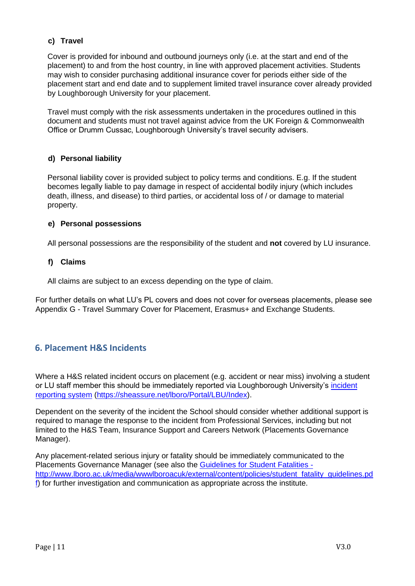## **c) Travel**

Cover is provided for inbound and outbound journeys only (i.e. at the start and end of the placement) to and from the host country, in line with approved placement activities. Students may wish to consider purchasing additional insurance cover for periods either side of the placement start and end date and to supplement limited travel insurance cover already provided by Loughborough University for your placement.

Travel must comply with the risk assessments undertaken in the procedures outlined in this document and students must not travel against advice from the UK Foreign & Commonwealth Office or Drumm Cussac, Loughborough University's travel security advisers.

#### **d) Personal liability**

Personal liability cover is provided subject to policy terms and conditions. E.g. If the student becomes legally liable to pay damage in respect of accidental bodily injury (which includes death, illness, and disease) to third parties, or accidental loss of / or damage to material property.

#### **e) Personal possessions**

All personal possessions are the responsibility of the student and **not** covered by LU insurance.

#### **f) Claims**

All claims are subject to an excess depending on the type of claim.

For further details on what LU's PL covers and does not cover for overseas placements, please see Appendix G - Travel Summary Cover for Placement, Erasmus+ and Exchange Students.

## <span id="page-10-0"></span>**6. Placement H&S Incidents**

Where a H&S related incident occurs on placement (e.g. accident or near miss) involving a student or LU staff member this should be immediately reported via Loughborough University's [incident](https://sheassure.net/lboro/Portal/LBU/Index) [reporting system](https://sheassure.net/lboro/Portal/LBU/Index) [\(https://sheassure.net/lboro/Portal/LBU/Index\).](https://sheassure.net/lboro/Portal/LBU/Index)

Dependent on the severity of the incident the School should consider whether additional support is required to manage the response to the incident from Professional Services, including but not limited to the H&S Team, Insurance Support and Careers Network (Placements Governance Manager).

Any placement-related serious injury or fatality should be immediately communicated to the Placements Governance Manager (see also the [Guidelines for Student Fatalities](http://www.lboro.ac.uk/media/wwwlboroacuk/external/content/policies/student_fatality_guidelines.pdf)  http://www.lboro.ac.uk/media/wwwlboroacuk/external/content/policies/student\_fatality\_guidelines.pd  $f$  for further investigation and communication as appropriate across the institute.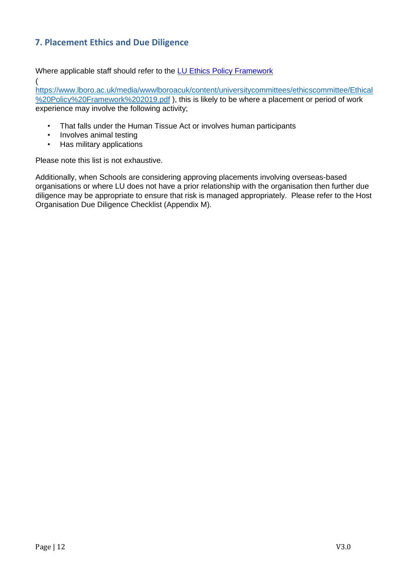## <span id="page-11-0"></span>**7. Placement Ethics and Due Diligence**

Where applicable staff should refer to the [LU Ethics Policy Framework](https://www.lboro.ac.uk/media/wwwlboroacuk/content/universitycommittees/ethicscommittee/Ethical%20Policy%20Framework%202019.pdf)

[https://www.lboro.ac.uk/media/wwwlboroacuk/content/universitycommittees/ethicscommittee/Ethical](https://www.lboro.ac.uk/media/wwwlboroacuk/content/universitycommittees/ethicscommittee/Ethical%20Policy%20Framework%202019.pdf) [%20Policy%20Framework%202019.pdf](https://www.lboro.ac.uk/media/wwwlboroacuk/content/universitycommittees/ethicscommittee/Ethical%20Policy%20Framework%202019.pdf) [\),](http://www.lboro.ac.uk/committees/senate/meetings/20jun18/SEN18-P52.pdf) this is likely to be where a placement or period of work experience may involve the following activity;

- That falls under the Human Tissue Act or involves human participants
- Involves animal testing

[\(](http://www.lboro.ac.uk/committees/senate/meetings/20jun18/SEN18-P52.pdf)

• Has military applications

Please note this list is not exhaustive.

Additionally, when Schools are considering approving placements involving overseas-based organisations or where LU does not have a prior relationship with the organisation then further due diligence may be appropriate to ensure that risk is managed appropriately. Please refer to the Host Organisation Due Diligence Checklist (Appendix M).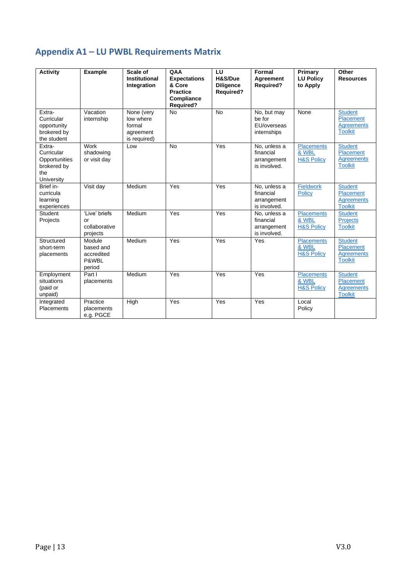# <span id="page-12-0"></span>**Appendix A1 – LU PWBL Requirements Matrix**

| <b>Activity</b>                                                           | <b>Example</b>                                       | Scale of<br>Institutional<br>Integration                       | QAA<br><b>Expectations</b><br>& Core<br><b>Practice</b><br>Compliance<br><b>Required?</b> | LU<br>H&S/Due<br><b>Diligence</b><br><b>Required?</b> | Formal<br><b>Agreement</b><br><b>Required?</b>                    | Primary<br><b>LU Policy</b><br>to Apply             | Other<br><b>Resources</b>                                          |
|---------------------------------------------------------------------------|------------------------------------------------------|----------------------------------------------------------------|-------------------------------------------------------------------------------------------|-------------------------------------------------------|-------------------------------------------------------------------|-----------------------------------------------------|--------------------------------------------------------------------|
| Extra-<br>Curricular<br>opportunity<br>brokered by<br>the student         | Vacation<br>internship                               | None (very<br>low where<br>formal<br>agreement<br>is required) | <b>No</b>                                                                                 | <b>No</b>                                             | $\overline{No}$ , but may<br>be for<br>EU/overseas<br>internships | None                                                | <b>Student</b><br>Placement<br><b>Agreements</b><br><b>Toolkit</b> |
| Extra-<br>Curricular<br>Opportunities<br>brokered by<br>the<br>University | Work<br>shadowing<br>or visit day                    | Low                                                            | <b>No</b>                                                                                 | Yes                                                   | No, unless a<br>financial<br>arrangement<br>is involved.          | Placements<br>& WBL<br><b>H&amp;S Policy</b>        | <b>Student</b><br>Placement<br><b>Agreements</b><br><b>Toolkit</b> |
| Brief in-<br>curricula<br>learning<br>experiences                         | Visit day                                            | Medium                                                         | Yes                                                                                       | Yes                                                   | No, unless a<br>financial<br>arrangement<br>is involved.          | Fieldwork<br><b>Policy</b>                          | <b>Student</b><br>Placement<br><b>Agreements</b><br><b>Toolkit</b> |
| Student<br>Projects                                                       | 'Live' briefs<br>or<br>collaborative<br>projects     | Medium                                                         | Yes                                                                                       | Yes                                                   | No, unless a<br>financial<br>arrangement<br>is involved.          | <b>Placements</b><br>& WBL<br><b>H&amp;S Policy</b> | <b>Student</b><br><b>Projects</b><br><b>Toolkit</b>                |
| Structured<br>short-term<br>placements                                    | Module<br>based and<br>accredited<br>P&WBL<br>period | Medium                                                         | Yes                                                                                       | Yes                                                   | Yes                                                               | <b>Placements</b><br>& WBL<br><b>H&amp;S Policy</b> | <b>Student</b><br>Placement<br><b>Agreements</b><br><b>Toolkit</b> |
| Employment<br>situations<br>(paid or<br>unpaid)                           | Part I<br>placements                                 | Medium                                                         | Yes                                                                                       | Yes                                                   | Yes                                                               | <b>Placements</b><br>& WBL<br><b>H&amp;S Policy</b> | <b>Student</b><br>Placement<br><b>Agreements</b><br><b>Toolkit</b> |
| Integrated<br>Placements                                                  | Practice<br>placements<br>e.g. PGCE                  | High                                                           | Yes                                                                                       | Yes                                                   | Yes                                                               | Local<br>Policy                                     |                                                                    |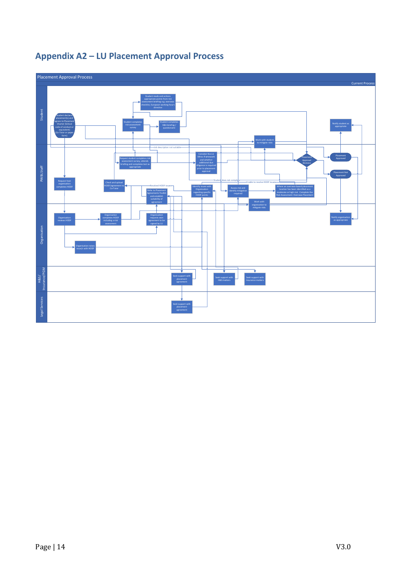

# <span id="page-13-0"></span>**Appendix A2 – LU Placement Approval Process**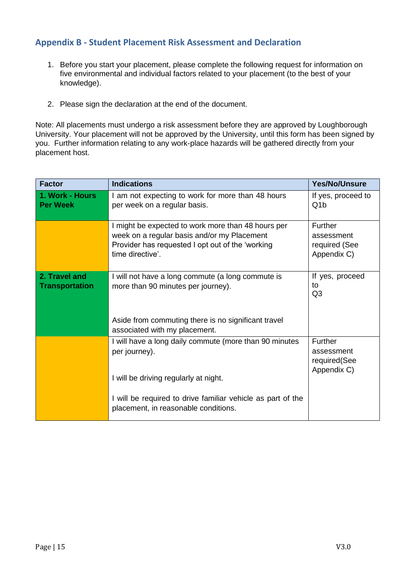## <span id="page-14-0"></span>**Appendix B - Student Placement Risk Assessment and Declaration**

- 1. Before you start your placement, please complete the following request for information on five environmental and individual factors related to your placement (to the best of your knowledge).
- 2. Please sign the declaration at the end of the document.

Note: All placements must undergo a risk assessment before they are approved by Loughborough University. Your placement will not be approved by the University, until this form has been signed by you. Further information relating to any work-place hazards will be gathered directly from your placement host.

| <b>Factor</b>                          | <b>Indications</b>                                                                                                                                                              | <b>Yes/No/Unsure</b>                                  |
|----------------------------------------|---------------------------------------------------------------------------------------------------------------------------------------------------------------------------------|-------------------------------------------------------|
| 1. Work - Hours<br><b>Per Week</b>     | I am not expecting to work for more than 48 hours<br>per week on a regular basis.                                                                                               | If yes, proceed to<br>Q <sub>1</sub> b                |
|                                        | I might be expected to work more than 48 hours per<br>week on a regular basis and/or my Placement<br>Provider has requested I opt out of the 'working<br>time directive'.       | Further<br>assessment<br>required (See<br>Appendix C) |
| 2. Travel and<br><b>Transportation</b> | I will not have a long commute (a long commute is<br>more than 90 minutes per journey).<br>Aside from commuting there is no significant travel<br>associated with my placement. | If yes, proceed<br>to<br>Q <sub>3</sub>               |
|                                        | I will have a long daily commute (more than 90 minutes<br>per journey).<br>I will be driving regularly at night.                                                                | Further<br>assessment<br>required(See<br>Appendix C)  |
|                                        | I will be required to drive familiar vehicle as part of the<br>placement, in reasonable conditions.                                                                             |                                                       |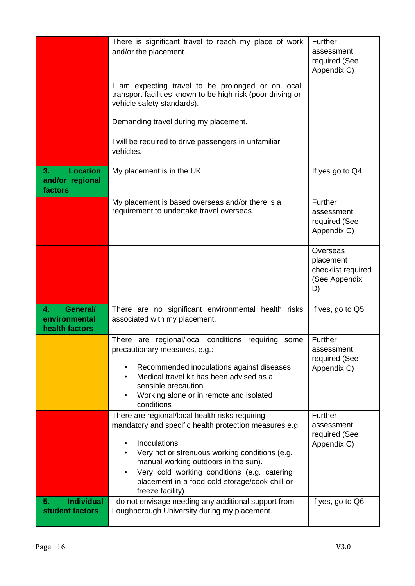|                                                     | There is significant travel to reach my place of work<br>and/or the placement.<br>I am expecting travel to be prolonged or on local<br>transport facilities known to be high risk (poor driving or<br>vehicle safety standards).<br>Demanding travel during my placement.                                                                                           | Further<br>assessment<br>required (See<br>Appendix C)              |
|-----------------------------------------------------|---------------------------------------------------------------------------------------------------------------------------------------------------------------------------------------------------------------------------------------------------------------------------------------------------------------------------------------------------------------------|--------------------------------------------------------------------|
|                                                     | I will be required to drive passengers in unfamiliar<br>vehicles.                                                                                                                                                                                                                                                                                                   |                                                                    |
| <b>Location</b><br>3.<br>and/or regional<br>factors | My placement is in the UK.                                                                                                                                                                                                                                                                                                                                          | If yes go to Q4                                                    |
|                                                     | My placement is based overseas and/or there is a<br>requirement to undertake travel overseas.                                                                                                                                                                                                                                                                       | Further<br>assessment<br>required (See<br>Appendix C)              |
|                                                     |                                                                                                                                                                                                                                                                                                                                                                     | Overseas<br>placement<br>checklist required<br>(See Appendix<br>D) |
| General/<br>4.<br>environmental<br>health factors   | There are no significant environmental health risks<br>associated with my placement.                                                                                                                                                                                                                                                                                | If yes, go to Q5                                                   |
|                                                     | There are regional/local conditions requiring some<br>precautionary measures, e.g.:<br>Recommended inoculations against diseases<br>$\bullet$<br>Medical travel kit has been advised as a<br>sensible precaution<br>Working alone or in remote and isolated<br>$\bullet$<br>conditions                                                                              | Further<br>assessment<br>required (See<br>Appendix C)              |
|                                                     | There are regional/local health risks requiring<br>mandatory and specific health protection measures e.g.<br>Inoculations<br>$\bullet$<br>Very hot or strenuous working conditions (e.g.<br>manual working outdoors in the sun).<br>Very cold working conditions (e.g. catering<br>$\bullet$<br>placement in a food cold storage/cook chill or<br>freeze facility). | Further<br>assessment<br>required (See<br>Appendix C)              |
| <b>Individual</b><br>5.<br>student factors          | I do not envisage needing any additional support from<br>Loughborough University during my placement.                                                                                                                                                                                                                                                               | If yes, go to Q6                                                   |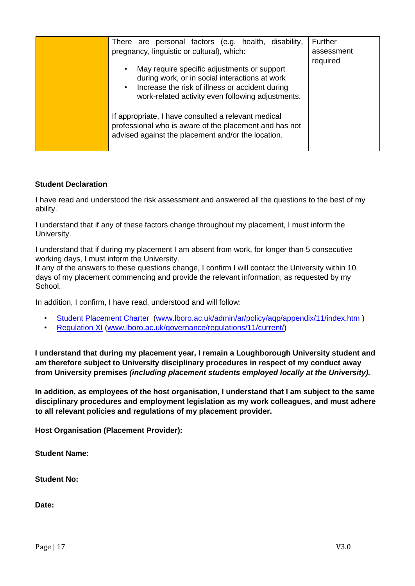| There are personal factors (e.g. health, disability,<br>pregnancy, linguistic or cultural), which:<br>May require specific adjustments or support<br>$\bullet$<br>during work, or in social interactions at work<br>Increase the risk of illness or accident during<br>$\bullet$<br>work-related activity even following adjustments. | Further<br>assessment<br>required |
|---------------------------------------------------------------------------------------------------------------------------------------------------------------------------------------------------------------------------------------------------------------------------------------------------------------------------------------|-----------------------------------|
| If appropriate, I have consulted a relevant medical<br>professional who is aware of the placement and has not<br>advised against the placement and/or the location.                                                                                                                                                                   |                                   |

#### **Student Declaration**

I have read and understood the risk assessment and answered all the questions to the best of my ability.

I understand that if any of these factors change throughout my placement, I must inform the University.

I understand that if during my placement I am absent from work, for longer than 5 consecutive working days, I must inform the University.

If any of the answers to these questions change, I confirm I will contact the University within 10 days of my placement commencing and provide the relevant information, as requested by my School.

In addition, I confirm, I have read, understood and will follow:

- [Student Placement](http://www.lboro.ac.uk/admin/ar/policy/aqp/appendix/11/index.htm) [Charter](http://www.lboro.ac.uk/admin/ar/policy/aqp/appendix/11/index.htm) [\(www.lboro.ac.uk/admin/ar/policy/aqp/appendix/11/index.htm](http://www.lboro.ac.uk/admin/ar/policy/aqp/appendix/11/index.htm) [\)](http://www.lboro.ac.uk/admin/ar/policy/aqp/appendix/11/index.htm)
- [Regulation XI](http://www.lboro.ac.uk/governance/regulations/11/current/) [\(www.lboro.ac.uk/governance/regulations/11/current/\)](http://www.lboro.ac.uk/governance/regulations/11/current/)

**I understand that during my placement year, I remain a Loughborough University student and am therefore subject to University disciplinary procedures in respect of my conduct away from University premises** *(including placement students employed locally at the University).* 

**In addition, as employees of the host organisation, I understand that I am subject to the same disciplinary procedures and employment legislation as my work colleagues, and must adhere to all relevant policies and regulations of my placement provider.** 

**Host Organisation (Placement Provider):** 

**Student Name:** 

**Student No:** 

**Date:**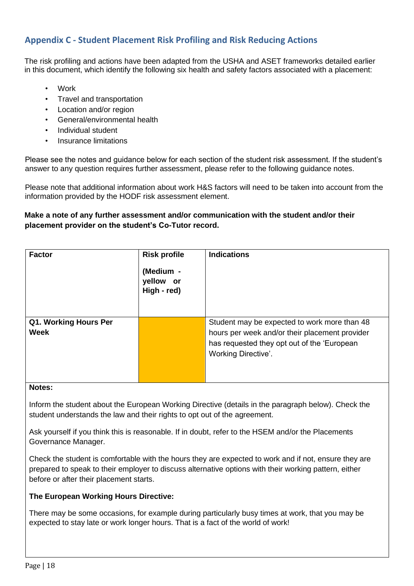## <span id="page-17-0"></span>**Appendix C - Student Placement Risk Profiling and Risk Reducing Actions**

The risk profiling and actions have been adapted from the USHA and ASET frameworks detailed earlier in this document, which identify the following six health and safety factors associated with a placement:

- **Work**
- Travel and transportation
- Location and/or region
- General/environmental health
- Individual student
- Insurance limitations

Please see the notes and guidance below for each section of the student risk assessment. If the student's answer to any question requires further assessment, please refer to the following guidance notes.

Please note that additional information about work H&S factors will need to be taken into account from the information provided by the HODF risk assessment element.

#### **Make a note of any further assessment and/or communication with the student and/or their placement provider on the student's Co-Tutor record.**

| <b>Factor</b>                        | <b>Risk profile</b><br>(Medium -<br>yellow or<br>High - red) | <b>Indications</b>                                                                                                                                                          |
|--------------------------------------|--------------------------------------------------------------|-----------------------------------------------------------------------------------------------------------------------------------------------------------------------------|
| Q1. Working Hours Per<br><b>Week</b> |                                                              | Student may be expected to work more than 48<br>hours per week and/or their placement provider<br>has requested they opt out of the 'European<br><b>Working Directive'.</b> |

#### **Notes:**

Inform the student about the European Working Directive (details in the paragraph below). Check the student understands the law and their rights to opt out of the agreement.

Ask yourself if you think this is reasonable. If in doubt, refer to the HSEM and/or the Placements Governance Manager.

Check the student is comfortable with the hours they are expected to work and if not, ensure they are prepared to speak to their employer to discuss alternative options with their working pattern, either before or after their placement starts.

#### **The European Working Hours Directive:**

There may be some occasions, for example during particularly busy times at work, that you may be expected to stay late or work longer hours. That is a fact of the world of work!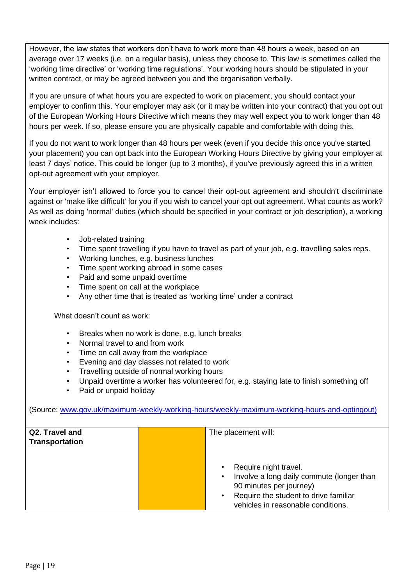However, the law states that workers don't have to work more than 48 hours a week, based on an average over 17 weeks (i.e. on a regular basis), unless they choose to. This law is sometimes called the 'working time directive' or 'working time regulations'. Your working hours should be stipulated in your written contract, or may be agreed between you and the organisation verbally.

If you are unsure of what hours you are expected to work on placement, you should contact your employer to confirm this. Your employer may ask (or it may be written into your contract) that you opt out of the European Working Hours Directive which means they may well expect you to work longer than 48 hours per week. If so, please ensure you are physically capable and comfortable with doing this.

If you do not want to work longer than 48 hours per week (even if you decide this once you've started your placement) you can opt back into the European Working Hours Directive by giving your employer at least 7 days' notice. This could be longer (up to 3 months), if you've previously agreed this in a written opt-out agreement with your employer.

Your employer isn't allowed to force you to cancel their opt-out agreement and shouldn't discriminate against or 'make like difficult' for you if you wish to cancel your opt out agreement. What counts as work? As well as doing 'normal' duties (which should be specified in your contract or job description), a working week includes:

- Job-related training
- Time spent travelling if you have to travel as part of your job, e.g. travelling sales reps.
- Working lunches, e.g. business lunches
- Time spent working abroad in some cases
- Paid and some unpaid overtime
- Time spent on call at the workplace
- Any other time that is treated as 'working time' under a contract

What doesn't count as work:

- Breaks when no work is done, e.g. lunch breaks
- Normal travel to and from work
- Time on call away from the workplace
- Evening and day classes not related to work
- Travelling outside of normal working hours
- Unpaid overtime a worker has volunteered for, e.g. staying late to finish something off
- Paid or unpaid holiday

(Source: [www.gov.uk/maximum-weekly-working-hours/weekly-maximum-working-hours-and-optingout\)](http://www.google.com/url?q=http%3A%2F%2Fwww.gov.uk%2Fmaximum-weekly-working-hours%2Fweekly-maximum-working-hours-and-opting-out&sa=D&sntz=1&usg=AFQjCNHNcfmZG9KAF9yPBwHp2bMddTphWw)

| Q2. Travel and<br><b>Transportation</b> | The placement will:                                                                                                                                                          |
|-----------------------------------------|------------------------------------------------------------------------------------------------------------------------------------------------------------------------------|
|                                         | Require night travel.<br>Involve a long daily commute (longer than<br>90 minutes per journey)<br>Require the student to drive familiar<br>vehicles in reasonable conditions. |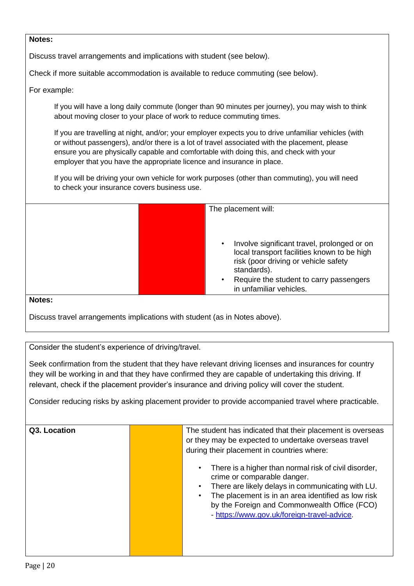Discuss travel arrangements and implications with student (see below).

Check if more suitable accommodation is available to reduce commuting (see below).

#### For example:

If you will have a long daily commute (longer than 90 minutes per journey), you may wish to think about moving closer to your place of work to reduce commuting times.

If you are travelling at night, and/or; your employer expects you to drive unfamiliar vehicles (with or without passengers), and/or there is a lot of travel associated with the placement, please ensure you are physically capable and comfortable with doing this, and check with your employer that you have the appropriate licence and insurance in place.

If you will be driving your own vehicle for work purposes (other than commuting), you will need to check your insurance covers business use.

The placement will:

- Involve significant travel, prolonged or on local transport facilities known to be high risk (poor driving or vehicle safety standards).
- Require the student to carry passengers in unfamiliar vehicles.

#### **Notes:**

Discuss travel arrangements implications with student (as in Notes above).

Consider the student's experience of driving/travel.

Seek confirmation from the student that they have relevant driving licenses and insurances for country they will be working in and that they have confirmed they are capable of undertaking this driving. If relevant, check if the placement provider's insurance and driving policy will cover the student.

Consider reducing risks by asking placement provider to provide accompanied travel where practicable.

| Q3. Location | The student has indicated that their placement is overseas<br>or they may be expected to undertake overseas travel<br>during their placement in countries where:<br>There is a higher than normal risk of civil disorder,             |
|--------------|---------------------------------------------------------------------------------------------------------------------------------------------------------------------------------------------------------------------------------------|
|              | crime or comparable danger.<br>There are likely delays in communicating with LU.<br>The placement is in an area identified as low risk<br>by the Foreign and Commonwealth Office (FCO)<br>- https://www.gov.uk/foreign-travel-advice. |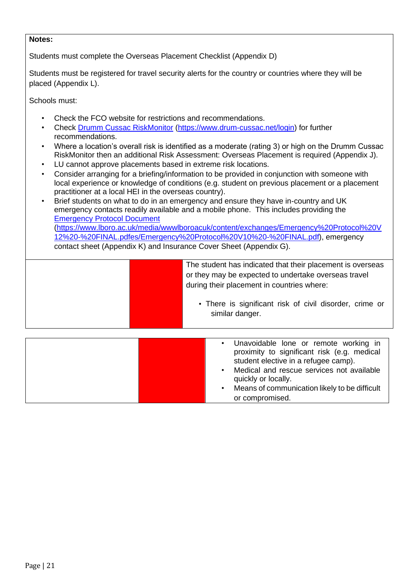Students must complete the Overseas Placement Checklist (Appendix D)

Students must be registered for travel security alerts for the country or countries where they will be placed (Appendix L).

Schools must:

- Check the FCO website for restrictions and recommendations.
- Chec[k](https://www.drum-cussac.net/login) [Drumm Cussac RiskMonitor](https://www.drum-cussac.net/login) [\(https://www.drum-cussac.net/login\)](https://www.drum-cussac.net/login) for further recommendations.
- Where a location's overall risk is identified as a moderate (rating 3) or high on the Drumm Cussac RiskMonitor then an additional Risk Assessment: Overseas Placement is required (Appendix J).
- LU cannot approve placements based in extreme risk locations.
- Consider arranging for a briefing/information to be provided in conjunction with someone with local experience or knowledge of conditions (e.g. student on previous placement or a placement practitioner at a local HEI in the overseas country).
- Brief students on what to do in an emergency and ensure they have in-country and UK emergency contacts readily available and a mobile phone. This includes providing the [Emergency Protocol Document](https://www.lboro.ac.uk/media/wwwlboroacuk/content/exchanges/Emergency%20Protocol%20V12%20-%20FINAL.pdf) [\(](http://www.lboro.ac.uk/media/wwwlboroacuk/external/content/international/downloads/exchanges/Emergency%20Protocol%20V10%20-%20FINAL.pdf)[https://www.lboro.ac.uk/media/wwwlboroacuk/content/exchanges/Emergency%20Protocol%20V](https://www.lboro.ac.uk/media/wwwlboroacuk/content/exchanges/Emergency%20Protocol%20V12%20-%20FINAL.pdf) [12%20-%20FINAL.pdf](https://www.lboro.ac.uk/media/wwwlboroacuk/content/exchanges/Emergency%20Protocol%20V12%20-%20FINAL.pdf)[es/Emergency%20Protocol%20V10%20-](http://www.lboro.ac.uk/media/wwwlboroacuk/external/content/international/downloads/exchanges/Emergency%20Protocol%20V10%20-%20FINAL.pdf)[%20FINAL.pdf](https://www.lboro.ac.uk/media/wwwlboroacuk/content/exchanges/Emergency%20Protocol%20V12%20-%20FINAL.pdf)[\),](http://www.lboro.ac.uk/media/wwwlboroacuk/external/content/international/downloads/exchanges/Emergency%20Protocol%20V10%20-%20FINAL.pdf) emergency contact sheet (Appendix K) and Insurance Cover Sheet (Appendix G).

| The student has indicated that their placement is overseas<br>or they may be expected to undertake overseas travel<br>during their placement in countries where:<br>• There is significant risk of civil disorder, crime or<br>similar danger. |
|------------------------------------------------------------------------------------------------------------------------------------------------------------------------------------------------------------------------------------------------|
|                                                                                                                                                                                                                                                |

| Unavoidable lone or remote working in<br>$\bullet$<br>proximity to significant risk (e.g. medical<br>student elective in a refugee camp). |  |
|-------------------------------------------------------------------------------------------------------------------------------------------|--|
| Medical and rescue services not available<br>quickly or locally.<br>Means of communication likely to be difficult<br>or compromised.      |  |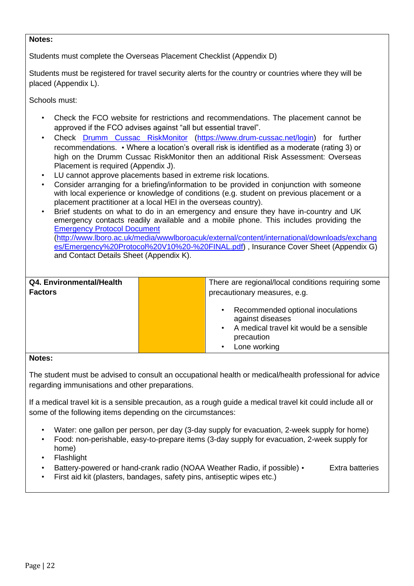Students must complete the Overseas Placement Checklist (Appendix D)

Students must be registered for travel security alerts for the country or countries where they will be placed (Appendix L).

Schools must:

- Check the FCO website for restrictions and recommendations. The placement cannot be approved if the FCO advises against "all but essential travel".
- Chec[k](https://www.drum-cussac.net/login) [Drumm Cussac RiskMonitor](https://www.drum-cussac.net/login) [\(https://www.drum-cussac.net/login\)](https://www.drum-cussac.net/login) for further recommendations. • Where a location's overall risk is identified as a moderate (rating 3) or high on the Drumm Cussac RiskMonitor then an additional Risk Assessment: Overseas Placement is required (Appendix J).
- LU cannot approve placements based in extreme risk locations.
- Consider arranging for a briefing/information to be provided in conjunction with someone with local experience or knowledge of conditions (e.g. student on previous placement or a placement practitioner at a local HEI in the overseas country).
- Brief students on what to do in an emergency and ensure they have in-country and UK emergency contacts readily available and a mobile phone. This includes providing the [Emergency Protocol Document](http://www.lboro.ac.uk/media/wwwlboroacuk/external/content/international/downloads/exchanges/Emergency%20Protocol%20V10%20-%20FINAL.pdf) [\(http://www.lboro.ac.uk/media/wwwlboroacuk/external/content/international/downloads/exchang](http://www.lboro.ac.uk/media/wwwlboroacuk/external/content/international/downloads/exchanges/Emergency%20Protocol%20V10%20-%20FINAL.pdf)  [es/Emergency%20Protocol%20V10%20-%20FINAL.pdf\)](http://www.lboro.ac.uk/media/wwwlboroacuk/external/content/international/downloads/exchanges/Emergency%20Protocol%20V10%20-%20FINAL.pdf) , Insurance Cover Sheet (Appendix G) and Contact Details Sheet (Appendix K).

| Q4. Environmental/Health | There are regional/local conditions requiring some                                                                                                                     |
|--------------------------|------------------------------------------------------------------------------------------------------------------------------------------------------------------------|
| <b>Factors</b>           | precautionary measures, e.g.                                                                                                                                           |
|                          | Recommended optional inoculations<br>$\bullet$<br>against diseases<br>A medical travel kit would be a sensible<br>$\bullet$<br>precaution<br>Lone working<br>$\bullet$ |

#### **Notes:**

The student must be advised to consult an occupational health or medical/health professional for advice regarding immunisations and other preparations.

If a medical travel kit is a sensible precaution, as a rough guide a medical travel kit could include all or some of the following items depending on the circumstances:

- Water: one gallon per person, per day (3-day supply for evacuation, 2-week supply for home)
- Food: non-perishable, easy-to-prepare items (3-day supply for evacuation, 2-week supply for home)
- **Flashlight**
- Battery-powered or hand-crank radio (NOAA Weather Radio, if possible) Extra batteries
- First aid kit (plasters, bandages, safety pins, antiseptic wipes etc.)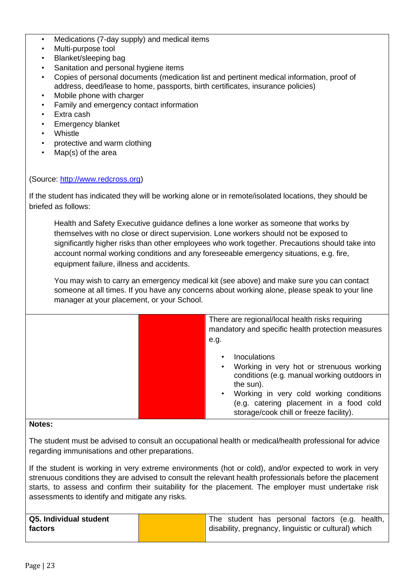- Medications (7-day supply) and medical items
- Multi-purpose tool
- Blanket/sleeping bag
- Sanitation and personal hygiene items
- Copies of personal documents (medication list and pertinent medical information, proof of address, deed/lease to home, passports, birth certificates, insurance policies)
- Mobile phone with charger
- Family and emergency contact information
- Extra cash
- Emergency blanket
- Whistle
- protective and warm clothing
- Map(s) of the area

#### (Source: [http://www.redcross.org\)](http://www.google.com/url?q=http%3A%2F%2Fwww.redcross.org&sa=D&sntz=1&usg=AFQjCNHaWXpl-VHLuqj5_AtB6fLDuAlKFA)

If the student has indicated they will be working alone or in remote/isolated locations, they should be briefed as follows:

Health and Safety Executive guidance defines a lone worker as someone that works by themselves with no close or direct supervision. Lone workers should not be exposed to significantly higher risks than other employees who work together. Precautions should take into account normal working conditions and any foreseeable emergency situations, e.g. fire, equipment failure, illness and accidents.

You may wish to carry an emergency medical kit (see above) and make sure you can contact someone at all times. If you have any concerns about working alone, please speak to your line manager at your placement, or your School.

| There are regional/local health risks requiring<br>mandatory and specific health protection measures<br>e.g.                                                                                                                                          |
|-------------------------------------------------------------------------------------------------------------------------------------------------------------------------------------------------------------------------------------------------------|
| Inoculations<br>Working in very hot or strenuous working<br>conditions (e.g. manual working outdoors in<br>the sun).<br>Working in very cold working conditions<br>(e.g. catering placement in a food cold<br>storage/cook chill or freeze facility). |

#### **Notes:**

The student must be advised to consult an occupational health or medical/health professional for advice regarding immunisations and other preparations.

If the student is working in very extreme environments (hot or cold), and/or expected to work in very strenuous conditions they are advised to consult the relevant health professionals before the placement starts, to assess and confirm their suitability for the placement. The employer must undertake risk assessments to identify and mitigate any risks.

| Q5. Individual student |  |  | The student has personal factors (e.g. health,       |  |  |
|------------------------|--|--|------------------------------------------------------|--|--|
| factors                |  |  | disability, pregnancy, linguistic or cultural) which |  |  |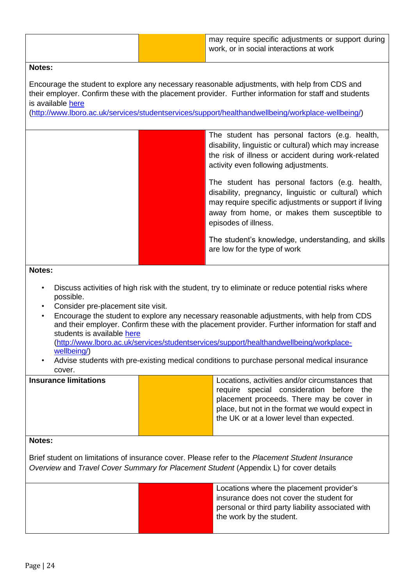Encourage the student to explore any necessary reasonable adjustments, with help from CDS and their employer. Confirm these with the placement provider. Further information for staff and students is available [here](http://www.lboro.ac.uk/services/student-services/support/healthandwellbeing/workplace-wellbeing/)

[\(http://www.lboro.ac.uk/services/studentservices/support/healthandwellbeing/workplace-wellbeing/\)](http://www.lboro.ac.uk/services/student-services/support/healthandwellbeing/workplace-wellbeing/)

The student has personal factors (e.g. health, disability, linguistic or cultural) which may increase the risk of illness or accident during work-related activity even following adjustments.

The student has personal factors (e.g. health, disability, pregnancy, linguistic or cultural) which may require specific adjustments or support if living away from home, or makes them susceptible to episodes of illness.

The student's knowledge, understanding, and skills are low for the type of work

#### **Notes:**

- Discuss activities of high risk with the student, try to eliminate or reduce potential risks where possible.
- Consider pre-placement site visit.
- Encourage the student to explore any necessary reasonable adjustments, with help from CDS and their employer. Confirm these with the placement provider. Further information for staff and students is available [here](http://www.lboro.ac.uk/services/student-services/support/healthandwellbeing/workplace-wellbeing/) [\(http://www.lboro.ac.uk/services/studentservices/support/healthandwellbeing/workplace](http://www.lboro.ac.uk/services/student-services/support/healthandwellbeing/workplace-wellbeing/)[wellbeing/\)](http://www.lboro.ac.uk/services/student-services/support/healthandwellbeing/workplace-wellbeing/)
- Advise students with pre-existing medical conditions to purchase personal medical insurance cover.

| <b>Insurance limitations</b> |                                           | Locations, activities and/or circumstances that |  |  |  |
|------------------------------|-------------------------------------------|-------------------------------------------------|--|--|--|
|                              |                                           | require special consideration before the        |  |  |  |
|                              | placement proceeds. There may be cover in |                                                 |  |  |  |
|                              |                                           | place, but not in the format we would expect in |  |  |  |
|                              | the UK or at a lower level than expected. |                                                 |  |  |  |
|                              |                                           |                                                 |  |  |  |

#### **Notes:**

Brief student on limitations of insurance cover. Please refer to the *Placement Student Insurance Overview* and *Travel Cover Summary for Placement Student* (Appendix L) for cover details

> Locations where the placement provider's insurance does not cover the student for personal or third party liability associated with the work by the student.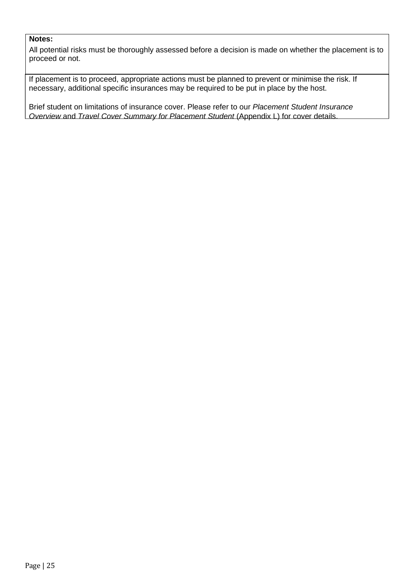All potential risks must be thoroughly assessed before a decision is made on whether the placement is to proceed or not.

If placement is to proceed, appropriate actions must be planned to prevent or minimise the risk. If necessary, additional specific insurances may be required to be put in place by the host.

Brief student on limitations of insurance cover. Please refer to our *Placement Student Insurance Overview* and *Travel Cover Summary for Placement Student* (Appendix L) for cover details.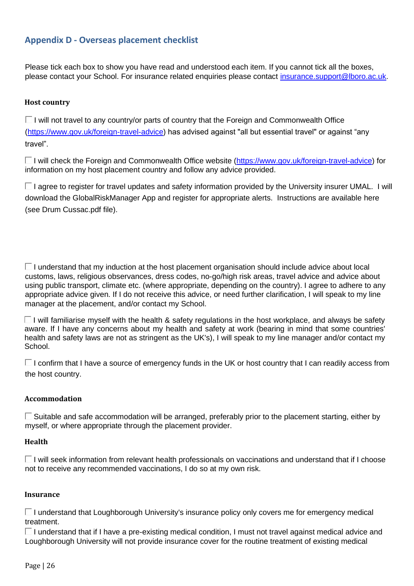## <span id="page-25-0"></span>**Appendix D - Overseas placement checklist**

Please tick each box to show you have read and understood each item. If you cannot tick all the boxes, please contact your School. For insurance related enquiries please contact insurance.support@lboro.ac.uk.

#### **Host country**

 $\Box$  I will not travel to any country/or parts of country that the Foreign and Commonwealth Office [\(https://www.gov.uk/foreign-travel-advice\)](https://www.google.com/url?q=https%3A%2F%2Fwww.gov.uk%2Fforeign-travel-advice&sa=D&sntz=1&usg=AFQjCNENBmSEpxL3uQtsgtKWevaVbxNO-A) has advised against "all but essential travel" or against "any travel".

□ I will check the Foreign and Commonwealth Office website [\(https://www.gov.uk/foreign-travel-advice\)](https://www.google.com/url?q=https%3A%2F%2Fwww.gov.uk%2Fforeign-travel-advice&sa=D&sntz=1&usg=AFQjCNENBmSEpxL3uQtsgtKWevaVbxNO-A) for information on my host placement country and follow any advice provided.

 $\square$  I agree to register for travel updates and safety information provided by the University insurer UMAL. I will download the GlobalRiskManager App and register for appropriate alerts. Instructions are available here (see Drum Cussac.pdf file).

 $\Box$  I understand that my induction at the host placement organisation should include advice about local customs, laws, religious observances, dress codes, no-go/high risk areas, travel advice and advice about using public transport, climate etc. (where appropriate, depending on the country). I agree to adhere to any appropriate advice given. If I do not receive this advice, or need further clarification, I will speak to my line manager at the placement, and/or contact my School.

 $\Box$  I will familiarise myself with the health & safety regulations in the host workplace, and always be safety aware. If I have any concerns about my health and safety at work (bearing in mind that some countries' health and safety laws are not as stringent as the UK's), I will speak to my line manager and/or contact my School.

 $\Box$  I confirm that I have a source of emergency funds in the UK or host country that I can readily access from the host country.

#### **Accommodation**

 $\Box$  Suitable and safe accommodation will be arranged, preferably prior to the placement starting, either by myself, or where appropriate through the placement provider.

#### **Health**

 $\Box$  I will seek information from relevant health professionals on vaccinations and understand that if I choose not to receive any recommended vaccinations, I do so at my own risk.

#### **Insurance**

 $\Box$  I understand that Loughborough University's insurance policy only covers me for emergency medical treatment.

 $\square$  I understand that if I have a pre-existing medical condition, I must not travel against medical advice and Loughborough University will not provide insurance cover for the routine treatment of existing medical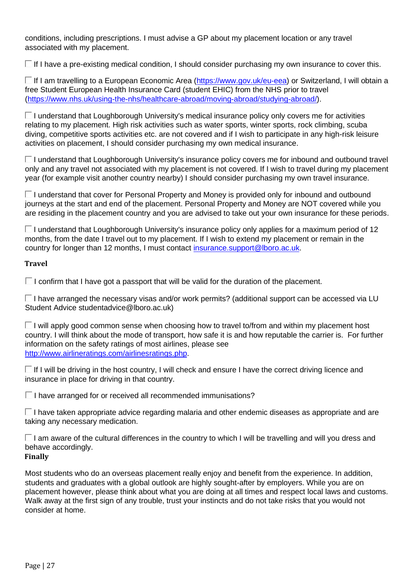conditions, including prescriptions. I must advise a GP about my placement location or any travel associated with my placement.

 $\Box$  If I have a pre-existing medical condition, I should consider purchasing my own insurance to cover this.

□ If I am travelling to a European Economic Area [\(https://www.gov.uk/eu-eea\)](https://www.google.com/url?q=https%3A%2F%2Fwww.gov.uk%2Feu-eea&sa=D&sntz=1&usg=AFQjCNG4qUGTvnY75LX_oCwWx_3w5pfvUQ) or Switzerland, I will obtain a free Student European Health Insurance Card (student EHIC) from the NHS prior to travel [\(https://www.nhs.uk/using-the-nhs/healthcare-abroad/moving-abroad/studying-abroad/\).](https://www.nhs.uk/using-the-nhs/healthcare-abroad/moving-abroad/studying-abroad/)

 $\Box$  I understand that Loughborough University's medical insurance policy only covers me for activities relating to my placement. High risk activities such as water sports, winter sports, rock climbing, scuba diving, competitive sports activities etc. are not covered and if I wish to participate in any high-risk leisure activities on placement, I should consider purchasing my own medical insurance.

 $\Box$  I understand that Loughborough University's insurance policy covers me for inbound and outbound travel only and any travel not associated with my placement is not covered. If I wish to travel during my placement year (for example visit another country nearby) I should consider purchasing my own travel insurance.

 $\Box$  I understand that cover for Personal Property and Money is provided only for inbound and outbound journeys at the start and end of the placement. Personal Property and Money are NOT covered while you are residing in the placement country and you are advised to take out your own insurance for these periods.

 $\Box$  I understand that Loughborough University's insurance policy only applies for a maximum period of 12 months, from the date I travel out to my placement. If I wish to extend my placement or remain in the country for longer than 12 months, I must contact insurance.support@lboro.ac.uk.

#### **Travel**

 $\square$  I confirm that I have got a passport that will be valid for the duration of the placement.

 $\Box$  I have arranged the necessary visas and/or work permits? (additional support can be accessed via LU Student Advice studentadvice@lboro.ac.uk)

 $\Box$  I will apply good common sense when choosing how to travel to/from and within my placement host country. I will think about the mode of transport, how safe it is and how reputable the carrier is. For further information on the safety ratings of most airlines, please se[e](http://www.google.com/url?q=http%3A%2F%2Fwww.airlineratings.com%2Fairlines-ratings.php&sa=D&sntz=1&usg=AFQjCNE1wK9g7f0QZmUlpKzGalOwUtn6PQ) [http://www.airlineratings.com/airlinesratings.php.](http://www.google.com/url?q=http%3A%2F%2Fwww.airlineratings.com%2Fairlines-ratings.php&sa=D&sntz=1&usg=AFQjCNE1wK9g7f0QZmUlpKzGalOwUtn6PQ)

 $\Box$  If I will be driving in the host country, I will check and ensure I have the correct driving licence and insurance in place for driving in that country.

 $\Box$  I have arranged for or received all recommended immunisations?

 $\Box$  I have taken appropriate advice regarding malaria and other endemic diseases as appropriate and are taking any necessary medication.

 $\Box$  I am aware of the cultural differences in the country to which I will be travelling and will you dress and behave accordingly.

## **Finally**

Most students who do an overseas placement really enjoy and benefit from the experience. In addition, students and graduates with a global outlook are highly sought-after by employers. While you are on placement however, please think about what you are doing at all times and respect local laws and customs. Walk away at the first sign of any trouble, trust your instincts and do not take risks that you would not consider at home.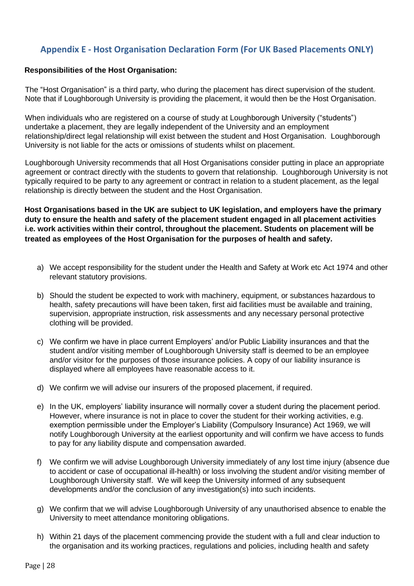## <span id="page-27-0"></span>**Appendix E - Host Organisation Declaration Form (For UK Based Placements ONLY)**

#### **Responsibilities of the Host Organisation:**

The "Host Organisation" is a third party, who during the placement has direct supervision of the student. Note that if Loughborough University is providing the placement, it would then be the Host Organisation.

When individuals who are registered on a course of study at Loughborough University ("students") undertake a placement, they are legally independent of the University and an employment relationship/direct legal relationship will exist between the student and Host Organisation. Loughborough University is not liable for the acts or omissions of students whilst on placement.

Loughborough University recommends that all Host Organisations consider putting in place an appropriate agreement or contract directly with the students to govern that relationship. Loughborough University is not typically required to be party to any agreement or contract in relation to a student placement, as the legal relationship is directly between the student and the Host Organisation.

**Host Organisations based in the UK are subject to UK legislation, and employers have the primary duty to ensure the health and safety of the placement student engaged in all placement activities i.e. work activities within their control, throughout the placement. Students on placement will be treated as employees of the Host Organisation for the purposes of health and safety.** 

- a) We accept responsibility for the student under the Health and Safety at Work etc Act 1974 and other relevant statutory provisions.
- b) Should the student be expected to work with machinery, equipment, or substances hazardous to health, safety precautions will have been taken, first aid facilities must be available and training, supervision, appropriate instruction, risk assessments and any necessary personal protective clothing will be provided.
- c) We confirm we have in place current Employers' and/or Public Liability insurances and that the student and/or visiting member of Loughborough University staff is deemed to be an employee and/or visitor for the purposes of those insurance policies. A copy of our liability insurance is displayed where all employees have reasonable access to it.
- d) We confirm we will advise our insurers of the proposed placement, if required.
- e) In the UK, employers' liability insurance will normally cover a student during the placement period. However, where insurance is not in place to cover the student for their working activities, e.g. exemption permissible under the Employer's Liability (Compulsory Insurance) Act 1969, we will notify Loughborough University at the earliest opportunity and will confirm we have access to funds to pay for any liability dispute and compensation awarded.
- f) We confirm we will advise Loughborough University immediately of any lost time injury (absence due to accident or case of occupational ill-health) or loss involving the student and/or visiting member of Loughborough University staff. We will keep the University informed of any subsequent developments and/or the conclusion of any investigation(s) into such incidents.
- g) We confirm that we will advise Loughborough University of any unauthorised absence to enable the University to meet attendance monitoring obligations.
- h) Within 21 days of the placement commencing provide the student with a full and clear induction to the organisation and its working practices, regulations and policies, including health and safety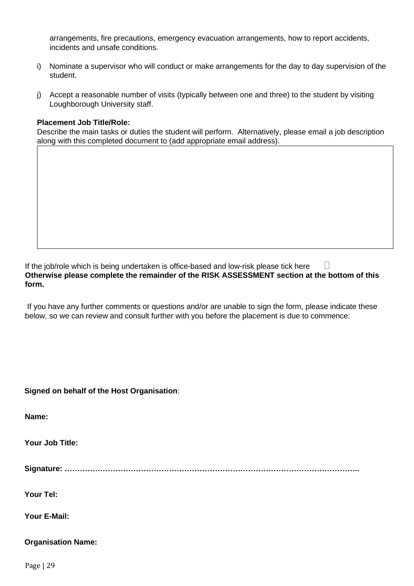arrangements, fire precautions, emergency evacuation arrangements, how to report accidents, incidents and unsafe conditions.

- i) Nominate a supervisor who will conduct or make arrangements for the day to day supervision of the student.
- j) Accept a reasonable number of visits (typically between one and three) to the student by visiting Loughborough University staff.

#### **Placement Job Title/Role:**

Describe the main tasks or duties the student will perform. Alternatively, please email a job description along with this completed document to (add appropriate email address).

If the job/role which is being undertaken is office-based and low-risk please tick here  $\Box$ **Otherwise please complete the remainder of the RISK ASSESSMENT section at the bottom of this form.**

If you have any further comments or questions and/or are unable to sign the form, please indicate these below, so we can review and consult further with you before the placement is due to commence:

**Signed on behalf of the Host Organisation**:

**Name:** 

**Your Job Title:**

**Signature: ……………………………………………………………………………………………………..**

**Your Tel:**

**Your E-Mail:** 

#### **Organisation Name:**

Page | 29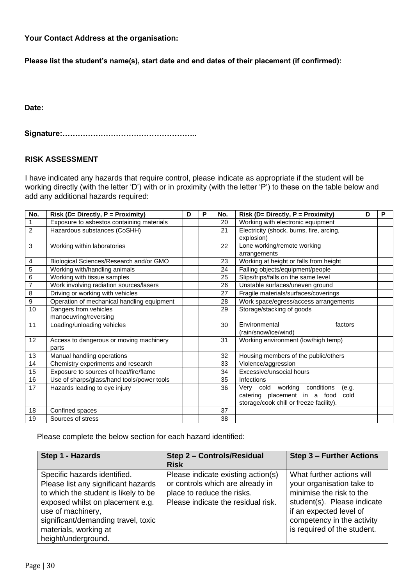**Your Contact Address at the organisation:** 

**Please list the student's name(s), start date and end dates of their placement (if confirmed):** 

**Date:** 

**Signature:……………………………………………..**

#### **RISK ASSESSMENT**

I have indicated any hazards that require control, please indicate as appropriate if the student will be working directly (with the letter 'D') with or in proximity (with the letter 'P') to these on the table below and add any additional hazards required:

| No.            | Risk (D= Directly, P = Proximity)          | D | P | No. | Risk (D= Directly, P = Proximity)        | D | P |
|----------------|--------------------------------------------|---|---|-----|------------------------------------------|---|---|
| 1              | Exposure to asbestos containing materials  |   |   | 20  | Working with electronic equipment        |   |   |
| $\overline{2}$ | Hazardous substances (CoSHH)               |   |   | 21  | Electricity (shock, burns, fire, arcing, |   |   |
|                |                                            |   |   |     | explosion)                               |   |   |
| 3              | Working within laboratories                |   |   | 22  | Lone working/remote working              |   |   |
|                |                                            |   |   |     | arrangements                             |   |   |
| $\overline{4}$ | Biological Sciences/Research and/or GMO    |   |   | 23  | Working at height or falls from height   |   |   |
| 5              | Working with/handling animals              |   |   | 24  | Falling objects/equipment/people         |   |   |
| 6              | Working with tissue samples                |   |   | 25  | Slips/trips/falls on the same level      |   |   |
| $\overline{7}$ | Work involving radiation sources/lasers    |   |   | 26  | Unstable surfaces/uneven ground          |   |   |
| 8              | Driving or working with vehicles           |   |   | 27  | Fragile materials/surfaces/coverings     |   |   |
| 9              | Operation of mechanical handling equipment |   |   | 28  | Work space/egress/access arrangements    |   |   |
| 10             | Dangers from vehicles                      |   |   | 29  | Storage/stacking of goods                |   |   |
|                | manoeuvring/reversing                      |   |   |     |                                          |   |   |
| 11             | Loading/unloading vehicles                 |   |   | 30  | Environmental<br>factors                 |   |   |
|                |                                            |   |   |     | (rain/snow/ice/wind)                     |   |   |
| 12             | Access to dangerous or moving machinery    |   |   | 31  | Working environment (low/high temp)      |   |   |
|                | parts                                      |   |   |     |                                          |   |   |
| 13             | Manual handling operations                 |   |   | 32  | Housing members of the public/others     |   |   |
| 14             | Chemistry experiments and research         |   |   | 33  | Violence/aggression                      |   |   |
| 15             | Exposure to sources of heat/fire/flame     |   |   | 34  | Excessive/unsocial hours                 |   |   |
| 16             | Use of sharps/glass/hand tools/power tools |   |   | 35  | Infections                               |   |   |
| 17             | Hazards leading to eye injury              |   |   | 36  | Very cold working conditions<br>(e.g.    |   |   |
|                |                                            |   |   |     | catering placement in a food<br>cold     |   |   |
|                |                                            |   |   |     | storage/cook chill or freeze facility).  |   |   |
| 18             | Confined spaces                            |   |   | 37  |                                          |   |   |
| 19             | Sources of stress                          |   |   | 38  |                                          |   |   |

Please complete the below section for each hazard identified:

| Step 1 - Hazards                                                                                                                                                                                                                                            | Step 2 - Controls/Residual                                                                                                                 | <b>Step 3 - Further Actions</b>                                                                                                                                                                           |
|-------------------------------------------------------------------------------------------------------------------------------------------------------------------------------------------------------------------------------------------------------------|--------------------------------------------------------------------------------------------------------------------------------------------|-----------------------------------------------------------------------------------------------------------------------------------------------------------------------------------------------------------|
|                                                                                                                                                                                                                                                             | <b>Risk</b>                                                                                                                                |                                                                                                                                                                                                           |
| Specific hazards identified.<br>Please list any significant hazards<br>to which the student is likely to be<br>exposed whilst on placement e.g.<br>use of machinery,<br>significant/demanding travel, toxic<br>materials, working at<br>height/underground. | Please indicate existing action(s)<br>or controls which are already in<br>place to reduce the risks.<br>Please indicate the residual risk. | What further actions will<br>your organisation take to<br>minimise the risk to the<br>student(s). Please indicate<br>if an expected level of<br>competency in the activity<br>is required of the student. |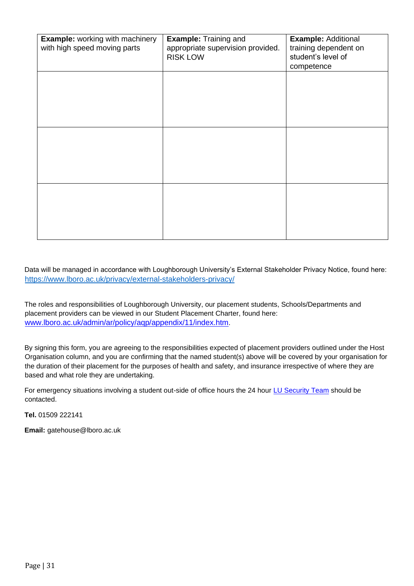| <b>Example: working with machinery</b><br>with high speed moving parts | <b>Example: Training and</b><br>appropriate supervision provided.<br><b>RISK LOW</b> | <b>Example: Additional</b><br>training dependent on<br>student's level of<br>competence |
|------------------------------------------------------------------------|--------------------------------------------------------------------------------------|-----------------------------------------------------------------------------------------|
|                                                                        |                                                                                      |                                                                                         |
|                                                                        |                                                                                      |                                                                                         |
|                                                                        |                                                                                      |                                                                                         |
|                                                                        |                                                                                      |                                                                                         |
|                                                                        |                                                                                      |                                                                                         |

Data will be managed in accordance with Loughborough University's External Stakeholder Privacy Notice, found here: <https://www.lboro.ac.uk/privacy/external-stakeholders-privacy/>

The roles and responsibilities of Loughborough University, our placement students, Schools/Departments and placement providers can be viewed in our Student Placement Charter, found here: [www.lboro.ac.uk/admin/ar/policy/aqp/appendix/11/index.htm](http://www.lboro.ac.uk/admin/ar/policy/aqp/appendix/11/index.htm)[.](http://www.lboro.ac.uk/admin/ar/policy/aqp/appendix/11/index.htm) 

By signing this form, you are agreeing to the responsibilities expected of placement providers outlined under the Host Organisation column, and you are confirming that the named student(s) above will be covered by your organisation for the duration of their placement for the purposes of health and safety, and insurance irrespective of where they are based and what role they are undertaking.

For emergency situations involving a student out-side of office hours the 24 hour [LU Security Team](http://www.lboro.ac.uk/services/security/) should be contacted.

**Tel.** 01509 222141

**Email:** gatehouse@lboro.ac.uk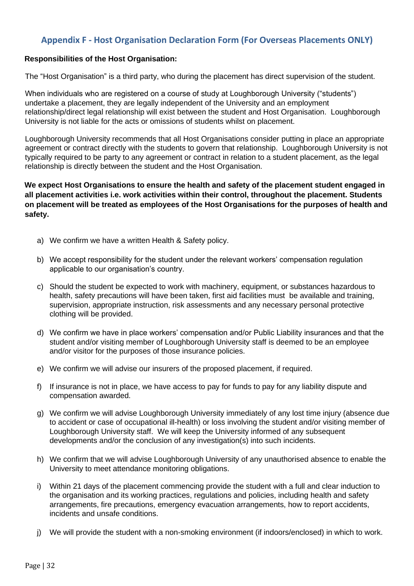## <span id="page-31-0"></span>**Appendix F - Host Organisation Declaration Form (For Overseas Placements ONLY)**

#### **Responsibilities of the Host Organisation:**

The "Host Organisation" is a third party, who during the placement has direct supervision of the student.

When individuals who are registered on a course of study at Loughborough University ("students") undertake a placement, they are legally independent of the University and an employment relationship/direct legal relationship will exist between the student and Host Organisation. Loughborough University is not liable for the acts or omissions of students whilst on placement.

Loughborough University recommends that all Host Organisations consider putting in place an appropriate agreement or contract directly with the students to govern that relationship. Loughborough University is not typically required to be party to any agreement or contract in relation to a student placement, as the legal relationship is directly between the student and the Host Organisation.

**We expect Host Organisations to ensure the health and safety of the placement student engaged in all placement activities i.e. work activities within their control, throughout the placement. Students on placement will be treated as employees of the Host Organisations for the purposes of health and safety.** 

- a) We confirm we have a written Health & Safety policy.
- b) We accept responsibility for the student under the relevant workers' compensation regulation applicable to our organisation's country.
- c) Should the student be expected to work with machinery, equipment, or substances hazardous to health, safety precautions will have been taken, first aid facilities must be available and training, supervision, appropriate instruction, risk assessments and any necessary personal protective clothing will be provided.
- d) We confirm we have in place workers' compensation and/or Public Liability insurances and that the student and/or visiting member of Loughborough University staff is deemed to be an employee and/or visitor for the purposes of those insurance policies.
- e) We confirm we will advise our insurers of the proposed placement, if required.
- f) If insurance is not in place, we have access to pay for funds to pay for any liability dispute and compensation awarded.
- g) We confirm we will advise Loughborough University immediately of any lost time injury (absence due to accident or case of occupational ill-health) or loss involving the student and/or visiting member of Loughborough University staff. We will keep the University informed of any subsequent developments and/or the conclusion of any investigation(s) into such incidents.
- h) We confirm that we will advise Loughborough University of any unauthorised absence to enable the University to meet attendance monitoring obligations.
- i) Within 21 days of the placement commencing provide the student with a full and clear induction to the organisation and its working practices, regulations and policies, including health and safety arrangements, fire precautions, emergency evacuation arrangements, how to report accidents, incidents and unsafe conditions.
- j) We will provide the student with a non-smoking environment (if indoors/enclosed) in which to work.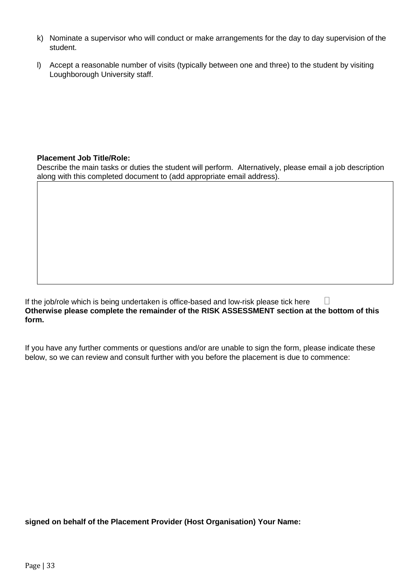- k) Nominate a supervisor who will conduct or make arrangements for the day to day supervision of the student.
- l) Accept a reasonable number of visits (typically between one and three) to the student by visiting Loughborough University staff.

## **Placement Job Title/Role:**

Describe the main tasks or duties the student will perform. Alternatively, please email a job description along with this completed document to (add appropriate email address).

If the job/role which is being undertaken is office-based and low-risk please tick here  $\Box$ **Otherwise please complete the remainder of the RISK ASSESSMENT section at the bottom of this form.**

If you have any further comments or questions and/or are unable to sign the form, please indicate these below, so we can review and consult further with you before the placement is due to commence:

**signed on behalf of the Placement Provider (Host Organisation) Your Name:**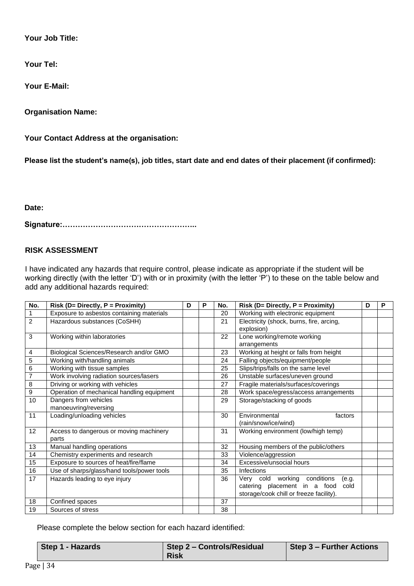**Your Job Title:**

**Your Tel:**

**Your E-Mail:** 

**Organisation Name:** 

**Your Contact Address at the organisation:** 

**Please list the student's name(s), job titles, start date and end dates of their placement (if confirmed):** 

**Date:** 

**Signature:……………………………………………..**

#### **RISK ASSESSMENT**

I have indicated any hazards that require control, please indicate as appropriate if the student will be working directly (with the letter 'D') with or in proximity (with the letter 'P') to these on the table below and add any additional hazards required:

| No.            | Risk (D= Directly, P = Proximity)          | D | Р | No. | Risk (D= Directly, P = Proximity)        | D | Р |
|----------------|--------------------------------------------|---|---|-----|------------------------------------------|---|---|
| $\mathbf{1}$   | Exposure to asbestos containing materials  |   |   | 20  | Working with electronic equipment        |   |   |
| 2              | Hazardous substances (CoSHH)               |   |   | 21  | Electricity (shock, burns, fire, arcing, |   |   |
|                |                                            |   |   |     | explosion)                               |   |   |
| 3              | Working within laboratories                |   |   | 22  | Lone working/remote working              |   |   |
|                |                                            |   |   |     | arrangements                             |   |   |
| 4              | Biological Sciences/Research and/or GMO    |   |   | 23  | Working at height or falls from height   |   |   |
| 5              | Working with/handling animals              |   |   | 24  | Falling objects/equipment/people         |   |   |
| 6              | Working with tissue samples                |   |   | 25  | Slips/trips/falls on the same level      |   |   |
| $\overline{7}$ | Work involving radiation sources/lasers    |   |   | 26  | Unstable surfaces/uneven ground          |   |   |
| 8              | Driving or working with vehicles           |   |   | 27  | Fragile materials/surfaces/coverings     |   |   |
| 9              | Operation of mechanical handling equipment |   |   | 28  | Work space/egress/access arrangements    |   |   |
| 10             | Dangers from vehicles                      |   |   | 29  | Storage/stacking of goods                |   |   |
|                | manoeuvring/reversing                      |   |   |     |                                          |   |   |
| 11             | Loading/unloading vehicles                 |   |   | 30  | Environmental<br>factors                 |   |   |
|                |                                            |   |   |     | (rain/snow/ice/wind)                     |   |   |
| 12             | Access to dangerous or moving machinery    |   |   | 31  | Working environment (low/high temp)      |   |   |
|                | parts                                      |   |   |     |                                          |   |   |
| 13             | Manual handling operations                 |   |   | 32  | Housing members of the public/others     |   |   |
| 14             | Chemistry experiments and research         |   |   | 33  | Violence/aggression                      |   |   |
| 15             | Exposure to sources of heat/fire/flame     |   |   | 34  | Excessive/unsocial hours                 |   |   |
| 16             | Use of sharps/glass/hand tools/power tools |   |   | 35  | Infections                               |   |   |
| 17             | Hazards leading to eye injury              |   |   | 36  | Very cold working conditions<br>(e.a.    |   |   |
|                |                                            |   |   |     | catering placement in a food<br>cold     |   |   |
|                |                                            |   |   |     | storage/cook chill or freeze facility).  |   |   |
| 18             | Confined spaces                            |   |   | 37  |                                          |   |   |
| 19             | Sources of stress                          |   |   | 38  |                                          |   |   |

Please complete the below section for each hazard identified:

| Step 1 - Hazards | Step 2 - Controls/Residual | Step 3 - Further Actions |
|------------------|----------------------------|--------------------------|
|                  | <b>Risk</b>                |                          |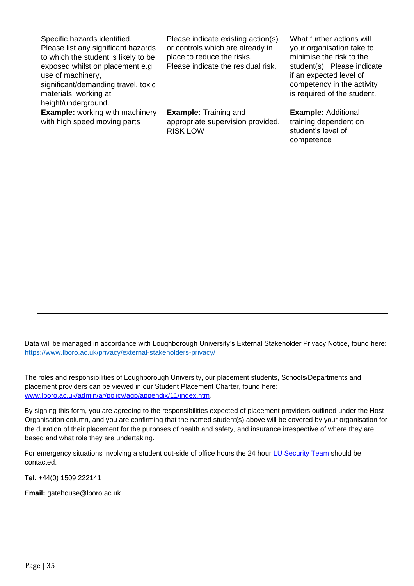| Specific hazards identified.<br>Please list any significant hazards<br>to which the student is likely to be<br>exposed whilst on placement e.g.<br>use of machinery,<br>significant/demanding travel, toxic<br>materials, working at<br>height/underground. | Please indicate existing action(s)<br>or controls which are already in<br>place to reduce the risks.<br>Please indicate the residual risk. | What further actions will<br>your organisation take to<br>minimise the risk to the<br>student(s). Please indicate<br>if an expected level of<br>competency in the activity<br>is required of the student. |
|-------------------------------------------------------------------------------------------------------------------------------------------------------------------------------------------------------------------------------------------------------------|--------------------------------------------------------------------------------------------------------------------------------------------|-----------------------------------------------------------------------------------------------------------------------------------------------------------------------------------------------------------|
| <b>Example:</b> working with machinery<br>with high speed moving parts                                                                                                                                                                                      | <b>Example: Training and</b><br>appropriate supervision provided.<br><b>RISK LOW</b>                                                       | <b>Example: Additional</b><br>training dependent on<br>student's level of<br>competence                                                                                                                   |
|                                                                                                                                                                                                                                                             |                                                                                                                                            |                                                                                                                                                                                                           |
|                                                                                                                                                                                                                                                             |                                                                                                                                            |                                                                                                                                                                                                           |
|                                                                                                                                                                                                                                                             |                                                                                                                                            |                                                                                                                                                                                                           |

Data will be managed in accordance with Loughborough University's External Stakeholder Privacy Notice, found here: <https://www.lboro.ac.uk/privacy/external-stakeholders-privacy/>

The roles and responsibilities of Loughborough University, our placement students, Schools/Departments and placement providers can be viewed in our Student Placement Charter, found here: [www.lboro.ac.uk/admin/ar/policy/aqp/appendix/11/index.htm.](http://www.lboro.ac.uk/admin/ar/policy/aqp/appendix/11/index.htm) 

By signing this form, you are agreeing to the responsibilities expected of placement providers outlined under the Host Organisation column, and you are confirming that the named student(s) above will be covered by your organisation for the duration of their placement for the purposes of health and safety, and insurance irrespective of where they are based and what role they are undertaking.

For emergency situations involving a student out-side of office hours the 24 hour [LU Security Team](http://www.lboro.ac.uk/services/security/) should be contacted.

**Tel.** +44(0) 1509 222141

**Email:** gatehouse@lboro.ac.uk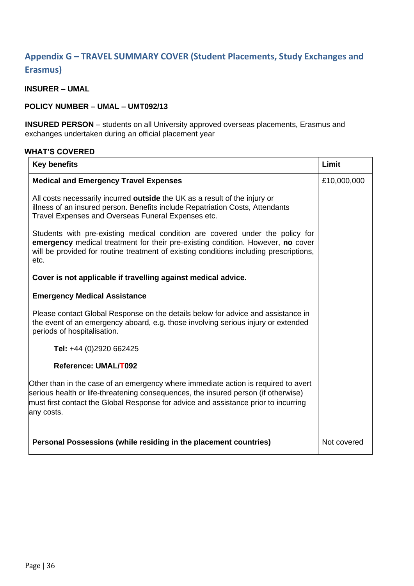## <span id="page-35-0"></span>**Appendix G – TRAVEL SUMMARY COVER (Student Placements, Study Exchanges and Erasmus)**

## **INSURER – UMAL**

#### **POLICY NUMBER – UMAL – UMT092/13**

**INSURED PERSON** – students on all University approved overseas placements, Erasmus and exchanges undertaken during an official placement year

## **WHAT'S COVERED**

| <b>Key benefits</b>                                                                                                                                                                                                                                                           | Limit       |
|-------------------------------------------------------------------------------------------------------------------------------------------------------------------------------------------------------------------------------------------------------------------------------|-------------|
| <b>Medical and Emergency Travel Expenses</b>                                                                                                                                                                                                                                  | £10,000,000 |
| All costs necessarily incurred <b>outside</b> the UK as a result of the injury or<br>illness of an insured person. Benefits include Repatriation Costs, Attendants<br>Travel Expenses and Overseas Funeral Expenses etc.                                                      |             |
| Students with pre-existing medical condition are covered under the policy for<br>emergency medical treatment for their pre-existing condition. However, no cover<br>will be provided for routine treatment of existing conditions including prescriptions,<br>etc.            |             |
| Cover is not applicable if travelling against medical advice.                                                                                                                                                                                                                 |             |
| <b>Emergency Medical Assistance</b>                                                                                                                                                                                                                                           |             |
| Please contact Global Response on the details below for advice and assistance in<br>the event of an emergency aboard, e.g. those involving serious injury or extended<br>periods of hospitalisation.                                                                          |             |
| Tel: +44 (0)2920 662425                                                                                                                                                                                                                                                       |             |
| Reference: UMAL/T092                                                                                                                                                                                                                                                          |             |
| Other than in the case of an emergency where immediate action is required to avert<br>serious health or life-threatening consequences, the insured person (if otherwise)<br>must first contact the Global Response for advice and assistance prior to incurring<br>any costs. |             |
| Personal Possessions (while residing in the placement countries)                                                                                                                                                                                                              | Not covered |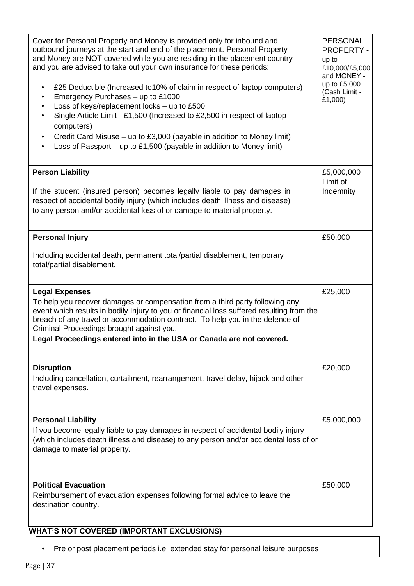| Cover for Personal Property and Money is provided only for inbound and<br>outbound journeys at the start and end of the placement. Personal Property<br>and Money are NOT covered while you are residing in the placement country<br>and you are advised to take out your own insurance for these periods:<br>£25 Deductible (Increased to 10% of claim in respect of laptop computers)<br>$\bullet$<br>Emergency Purchases - up to £1000<br>Loss of keys/replacement locks - up to £500<br>Single Article Limit - £1,500 (Increased to £2,500 in respect of laptop<br>computers)<br>Credit Card Misuse - up to £3,000 (payable in addition to Money limit)<br>Loss of Passport - up to £1,500 (payable in addition to Money limit) | <b>PERSONAL</b><br><b>PROPERTY -</b><br>up to<br>£10,000/£5,000<br>and MONEY -<br>up to £5,000<br>(Cash Limit -<br>£1,000) |
|-------------------------------------------------------------------------------------------------------------------------------------------------------------------------------------------------------------------------------------------------------------------------------------------------------------------------------------------------------------------------------------------------------------------------------------------------------------------------------------------------------------------------------------------------------------------------------------------------------------------------------------------------------------------------------------------------------------------------------------|----------------------------------------------------------------------------------------------------------------------------|
| <b>Person Liability</b><br>If the student (insured person) becomes legally liable to pay damages in<br>respect of accidental bodily injury (which includes death illness and disease)<br>to any person and/or accidental loss of or damage to material property.                                                                                                                                                                                                                                                                                                                                                                                                                                                                    | £5,000,000<br>Limit of<br>Indemnity                                                                                        |
| <b>Personal Injury</b><br>Including accidental death, permanent total/partial disablement, temporary<br>total/partial disablement.                                                                                                                                                                                                                                                                                                                                                                                                                                                                                                                                                                                                  | £50,000                                                                                                                    |
| <b>Legal Expenses</b><br>To help you recover damages or compensation from a third party following any<br>event which results in bodily Injury to you or financial loss suffered resulting from the<br>breach of any travel or accommodation contract. To help you in the defence of<br>Criminal Proceedings brought against you.<br>Legal Proceedings entered into in the USA or Canada are not covered.                                                                                                                                                                                                                                                                                                                            | £25,000                                                                                                                    |
| <b>Disruption</b><br>Including cancellation, curtailment, rearrangement, travel delay, hijack and other<br>travel expenses.                                                                                                                                                                                                                                                                                                                                                                                                                                                                                                                                                                                                         | £20,000                                                                                                                    |
| <b>Personal Liability</b><br>If you become legally liable to pay damages in respect of accidental bodily injury<br>(which includes death illness and disease) to any person and/or accidental loss of or<br>damage to material property.                                                                                                                                                                                                                                                                                                                                                                                                                                                                                            | £5,000,000                                                                                                                 |
| <b>Political Evacuation</b><br>Reimbursement of evacuation expenses following formal advice to leave the<br>destination country.                                                                                                                                                                                                                                                                                                                                                                                                                                                                                                                                                                                                    | £50,000                                                                                                                    |

## **WHAT'S NOT COVERED (IMPORTANT EXCLUSIONS)**

• Pre or post placement periods i.e. extended stay for personal leisure purposes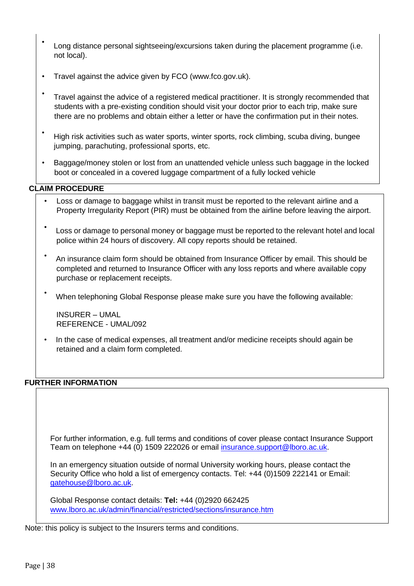- Long distance personal sightseeing/excursions taken during the placement programme (i.e. not local).
- Travel against the advice given by FCO (www.fco.gov.uk).
- Travel against the advice of a registered medical practitioner. It is strongly recommended that students with a pre-existing condition should visit your doctor prior to each trip, make sure there are no problems and obtain either a letter or have the confirmation put in their notes.
- High risk activities such as water sports, winter sports, rock climbing, scuba diving, bungee jumping, parachuting, professional sports, etc.
- Baggage/money stolen or lost from an unattended vehicle unless such baggage in the locked boot or concealed in a covered luggage compartment of a fully locked vehicle

## **CLAIM PROCEDURE**

- Loss or damage to baggage whilst in transit must be reported to the relevant airline and a Property Irregularity Report (PIR) must be obtained from the airline before leaving the airport.
- Loss or damage to personal money or baggage must be reported to the relevant hotel and local police within 24 hours of discovery. All copy reports should be retained.
- An insurance claim form should be obtained from Insurance Officer by email. This should be completed and returned to Insurance Officer with any loss reports and where available copy purchase or replacement receipts.
- When telephoning Global Response please make sure you have the following available:

INSURER – UMAL REFERENCE - UMAL/092

• In the case of medical expenses, all treatment and/or medicine receipts should again be retained and a claim form completed.

## **FURTHER INFORMATION**

For further information, e.g. full terms and conditions of cover please contact Insurance Support Team on telephone +44 (0) 1509 222026 or email insurance.support@lboro.ac.uk.

In an emergency situation outside of normal University working hours, please contact the Security Office who hold a list of emergency contacts. Tel: +44 (0)1509 222141 or Email: gatehouse@lboro.ac.uk.

Global Response contact details: **Tel:** +44 (0)2920 662425 [www.lboro.ac.uk/admin/financial/restricted/sections/insurance.htm](http://www.lboro.ac.uk/admin/financial/restricted/sections/insurance.htm)

Note: this policy is subject to the Insurers terms and conditions.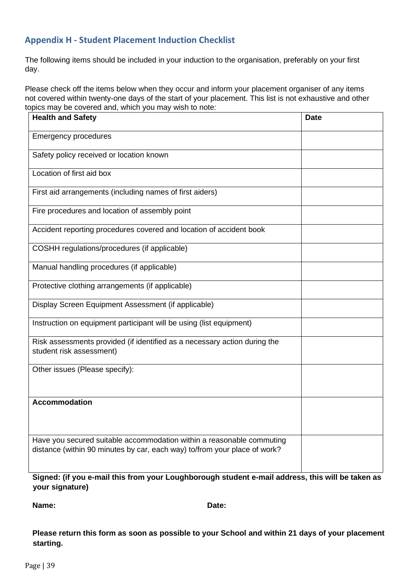## <span id="page-38-0"></span>**Appendix H - Student Placement Induction Checklist**

The following items should be included in your induction to the organisation, preferably on your first day.

Please check off the items below when they occur and inform your placement organiser of any items not covered within twenty-one days of the start of your placement. This list is not exhaustive and other topics may be covered and, which you may wish to note:

| <b>Health and Safety</b>                                                                                                                           | <b>Date</b> |
|----------------------------------------------------------------------------------------------------------------------------------------------------|-------------|
| <b>Emergency procedures</b>                                                                                                                        |             |
| Safety policy received or location known                                                                                                           |             |
| Location of first aid box                                                                                                                          |             |
| First aid arrangements (including names of first aiders)                                                                                           |             |
| Fire procedures and location of assembly point                                                                                                     |             |
| Accident reporting procedures covered and location of accident book                                                                                |             |
| COSHH regulations/procedures (if applicable)                                                                                                       |             |
| Manual handling procedures (if applicable)                                                                                                         |             |
| Protective clothing arrangements (if applicable)                                                                                                   |             |
| Display Screen Equipment Assessment (if applicable)                                                                                                |             |
| Instruction on equipment participant will be using (list equipment)                                                                                |             |
| Risk assessments provided (if identified as a necessary action during the<br>student risk assessment)                                              |             |
| Other issues (Please specify):                                                                                                                     |             |
| <b>Accommodation</b>                                                                                                                               |             |
| Have you secured suitable accommodation within a reasonable commuting<br>distance (within 90 minutes by car, each way) to/from your place of work? |             |

**Signed: (if you e-mail this from your Loughborough student e-mail address, this will be taken as your signature)**

**Name: Date:**

**Please return this form as soon as possible to your School and within 21 days of your placement starting.**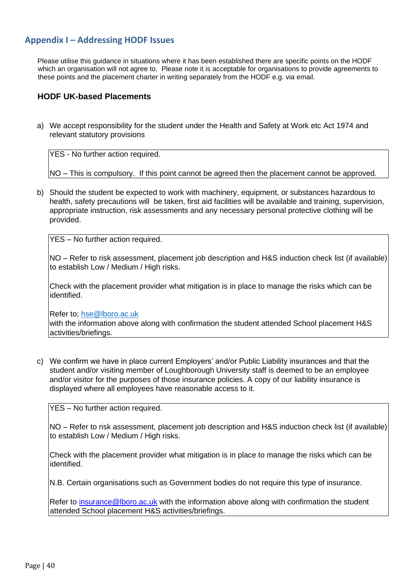## <span id="page-39-0"></span>**Appendix I – Addressing HODF Issues**

Please utilise this guidance in situations where it has been established there are specific points on the HODF which an organisation will not agree to. Please note it is acceptable for organisations to provide agreements to these points and the placement charter in writing separately from the HODF e.g. via email.

#### **HODF UK-based Placements**

a) We accept responsibility for the student under the Health and Safety at Work etc Act 1974 and relevant statutory provisions

YES - No further action required.

NO – This is compulsory. If this point cannot be agreed then the placement cannot be approved.

b) Should the student be expected to work with machinery, equipment, or substances hazardous to health, safety precautions will be taken, first aid facilities will be available and training, supervision, appropriate instruction, risk assessments and any necessary personal protective clothing will be provided.

YES – No further action required.

NO – Refer to risk assessment, placement job description and H&S induction check list (if available) to establish Low / Medium / High risks.

Check with the placement provider what mitigation is in place to manage the risks which can be identified.

Refer to; [hse@lboro.ac.uk](mailto:hse@lboro.ac.uk)

with the information above along with confirmation the student attended School placement H&S activities/briefings.

c) We confirm we have in place current Employers' and/or Public Liability insurances and that the student and/or visiting member of Loughborough University staff is deemed to be an employee and/or visitor for the purposes of those insurance policies. A copy of our liability insurance is displayed where all employees have reasonable access to it.

YES – No further action required.

NO – Refer to risk assessment, placement job description and H&S induction check list (if available) to establish Low / Medium / High risks.

Check with the placement provider what mitigation is in place to manage the risks which can be identified.

N.B. Certain organisations such as Government bodies do not require this type of insurance.

Refer to insurance@lboro.ac.uk with the information above along with confirmation the student attended School placement H&S activities/briefings.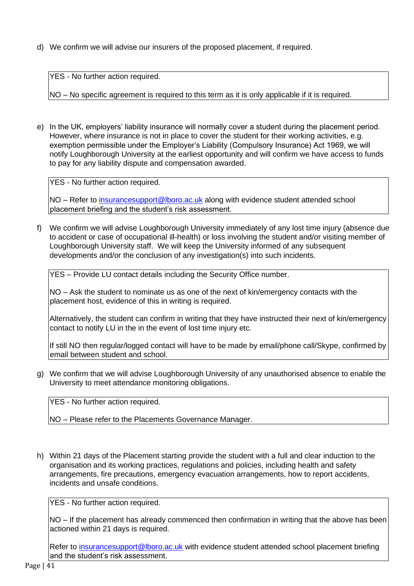d) We confirm we will advise our insurers of the proposed placement, if required.

YES - No further action required.

NO – No specific agreement is required to this term as it is only applicable if it is required.

e) In the UK, employers' liability insurance will normally cover a student during the placement period. However, where insurance is not in place to cover the student for their working activities, e.g. exemption permissible under the Employer's Liability (Compulsory Insurance) Act 1969, we will notify Loughborough University at the earliest opportunity and will confirm we have access to funds to pay for any liability dispute and compensation awarded.

YES - No further action required.

NO – Refer to *insurancesupport@lboro.ac.uk* along with evidence student attended school placement briefing and the student's risk assessment.

f) We confirm we will advise Loughborough University immediately of any lost time injury (absence due to accident or case of occupational ill-health) or loss involving the student and/or visiting member of Loughborough University staff. We will keep the University informed of any subsequent developments and/or the conclusion of any investigation(s) into such incidents.

YES – Provide LU contact details including the Security Office number.

NO – Ask the student to nominate us as one of the next of kin/emergency contacts with the placement host, evidence of this in writing is required.

Alternatively, the student can confirm in writing that they have instructed their next of kin/emergency contact to notify LU in the in the event of lost time injury etc.

If still NO then regular/logged contact will have to be made by email/phone call/Skype, confirmed by email between student and school.

g) We confirm that we will advise Loughborough University of any unauthorised absence to enable the University to meet attendance monitoring obligations.

YES - No further action required.

NO – Please refer to the Placements Governance Manager.

h) Within 21 days of the Placement starting provide the student with a full and clear induction to the organisation and its working practices, regulations and policies, including health and safety arrangements, fire precautions, emergency evacuation arrangements, how to report accidents, incidents and unsafe conditions.

YES - No further action required.

NO – If the placement has already commenced then confirmation in writing that the above has been actioned within 21 days is required.

Refer to insurancesupport@lboro.ac.uk with evidence student attended school placement briefing and the student's risk assessment.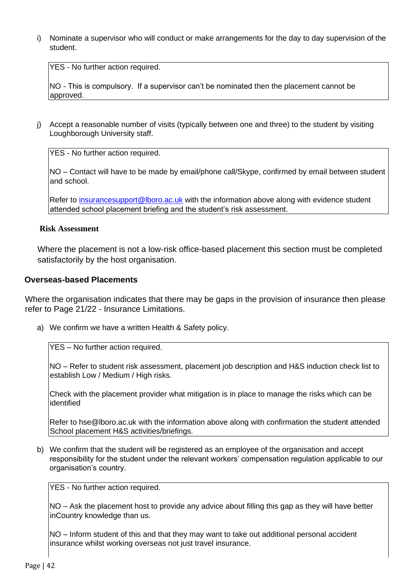i) Nominate a supervisor who will conduct or make arrangements for the day to day supervision of the student.

YES - No further action required.

NO - This is compulsory. If a supervisor can't be nominated then the placement cannot be approved.

j) Accept a reasonable number of visits (typically between one and three) to the student by visiting Loughborough University staff.

YES - No further action required.

NO – Contact will have to be made by email/phone call/Skype, confirmed by email between student and school.

Refer to insurancesupport@lboro.ac.uk with the information above along with evidence student attended school placement briefing and the student's risk assessment.

#### **Risk Assessment**

Where the placement is not a low-risk office-based placement this section must be completed satisfactorily by the host organisation.

#### **Overseas-based Placements**

Where the organisation indicates that there may be gaps in the provision of insurance then please refer to Page 21/22 - Insurance Limitations.

a) We confirm we have a written Health & Safety policy.

YES – No further action required.

NO – Refer to student risk assessment, placement job description and H&S induction check list to establish Low / Medium / High risks.

Check with the placement provider what mitigation is in place to manage the risks which can be identified

Refer to hse@lboro.ac.uk with the information above along with confirmation the student attended School placement H&S activities/briefings.

b) We confirm that the student will be registered as an employee of the organisation and accept responsibility for the student under the relevant workers' compensation regulation applicable to our organisation's country.

YES - No further action required.

NO – Ask the placement host to provide any advice about filling this gap as they will have better inCountry knowledge than us.

NO – Inform student of this and that they may want to take out additional personal accident insurance whilst working overseas not just travel insurance.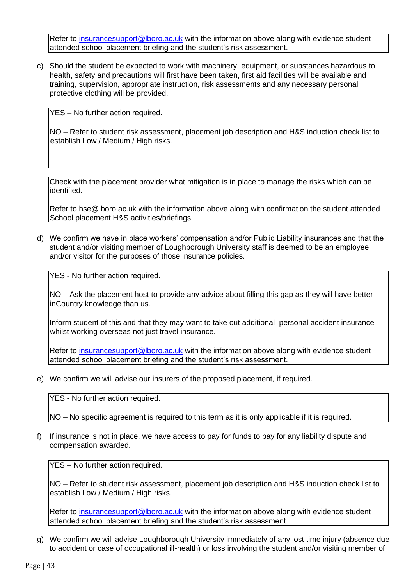Refer to insurancesupport@lboro.ac.uk with the information above along with evidence student attended school placement briefing and the student's risk assessment.

c) Should the student be expected to work with machinery, equipment, or substances hazardous to health, safety and precautions will first have been taken, first aid facilities will be available and training, supervision, appropriate instruction, risk assessments and any necessary personal protective clothing will be provided.

YES – No further action required.

NO – Refer to student risk assessment, placement job description and H&S induction check list to establish Low / Medium / High risks.

Check with the placement provider what mitigation is in place to manage the risks which can be identified.

Refer to hse@lboro.ac.uk with the information above along with confirmation the student attended School placement H&S activities/briefings.

d) We confirm we have in place workers' compensation and/or Public Liability insurances and that the student and/or visiting member of Loughborough University staff is deemed to be an employee and/or visitor for the purposes of those insurance policies.

YES - No further action required.

NO – Ask the placement host to provide any advice about filling this gap as they will have better inCountry knowledge than us.

Inform student of this and that they may want to take out additional personal accident insurance whilst working overseas not just travel insurance.

Refer to insurancesupport@lboro.ac.uk with the information above along with evidence student attended school placement briefing and the student's risk assessment.

e) We confirm we will advise our insurers of the proposed placement, if required.

YES - No further action required.

NO – No specific agreement is required to this term as it is only applicable if it is required.

f) If insurance is not in place, we have access to pay for funds to pay for any liability dispute and compensation awarded.

YES – No further action required.

NO – Refer to student risk assessment, placement job description and H&S induction check list to establish Low / Medium / High risks.

Refer to insurancesupport@lboro.ac.uk with the information above along with evidence student attended school placement briefing and the student's risk assessment.

g) We confirm we will advise Loughborough University immediately of any lost time injury (absence due to accident or case of occupational ill-health) or loss involving the student and/or visiting member of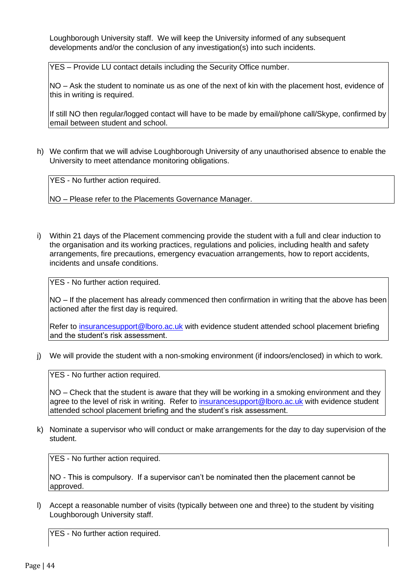Loughborough University staff. We will keep the University informed of any subsequent developments and/or the conclusion of any investigation(s) into such incidents.

YES – Provide LU contact details including the Security Office number.

NO – Ask the student to nominate us as one of the next of kin with the placement host, evidence of this in writing is required.

If still NO then regular/logged contact will have to be made by email/phone call/Skype, confirmed by email between student and school.

h) We confirm that we will advise Loughborough University of any unauthorised absence to enable the University to meet attendance monitoring obligations.

YES - No further action required.

NO – Please refer to the Placements Governance Manager.

i) Within 21 days of the Placement commencing provide the student with a full and clear induction to the organisation and its working practices, regulations and policies, including health and safety arrangements, fire precautions, emergency evacuation arrangements, how to report accidents, incidents and unsafe conditions.

YES - No further action required.

NO – If the placement has already commenced then confirmation in writing that the above has been actioned after the first day is required.

Refer to insurancesupport@lboro.ac.uk with evidence student attended school placement briefing and the student's risk assessment.

j) We will provide the student with a non-smoking environment (if indoors/enclosed) in which to work.

YES - No further action required.

NO – Check that the student is aware that they will be working in a smoking environment and they agree to the level of risk in writing. Refer to insurancesupport@lboro.ac.uk with evidence student attended school placement briefing and the student's risk assessment.

k) Nominate a supervisor who will conduct or make arrangements for the day to day supervision of the student.

YES - No further action required.

NO - This is compulsory. If a supervisor can't be nominated then the placement cannot be approved.

l) Accept a reasonable number of visits (typically between one and three) to the student by visiting Loughborough University staff.

YES - No further action required.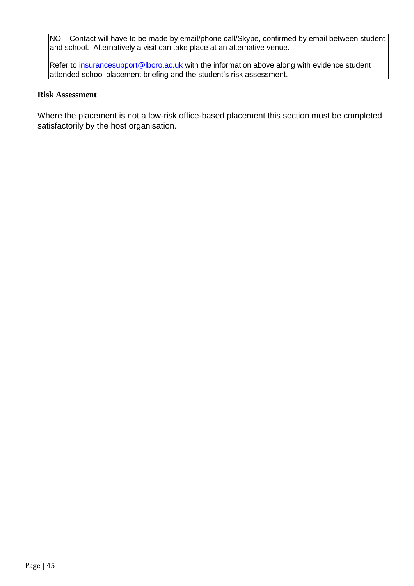NO – Contact will have to be made by email/phone call/Skype, confirmed by email between student and school. Alternatively a visit can take place at an alternative venue.

Refer to insurancesupport@lboro.ac.uk with the information above along with evidence student attended school placement briefing and the student's risk assessment.

#### **Risk Assessment**

Where the placement is not a low-risk office-based placement this section must be completed satisfactorily by the host organisation.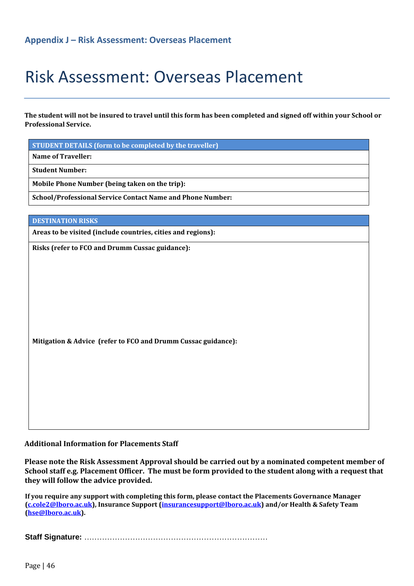# <span id="page-45-0"></span>Risk Assessment: Overseas Placement

**The student will not be insured to travel until this form has been completed and signed off within your School or Professional Service.** 

**STUDENT DETAILS (form to be completed by the traveller)** 

**Name of Traveller:** 

**Student Number:** 

**Mobile Phone Number (being taken on the trip):** 

**School/Professional Service Contact Name and Phone Number:** 

**DESTINATION RISKS** 

**Areas to be visited (include countries, cities and regions):** 

**Risks (refer to FCO and Drumm Cussac guidance):**

**Mitigation & Advice (refer to FCO and Drumm Cussac guidance):**

#### **Additional Information for Placements Staff**

**Please note the Risk Assessment Approval should be carried out by a nominated competent member of School staff e.g. Placement Officer. The must be form provided to the student along with a request that they will follow the advice provided.**

**If you require any support with completing this form, please contact the Placements Governance Manager (c.cole2@lboro.ac.uk), Insurance Support (insurancesupport@lboro.ac.uk) and/or Health & Safety Team (hse@lboro.ac.uk).** 

**Staff Signature:** ………………………………………………………………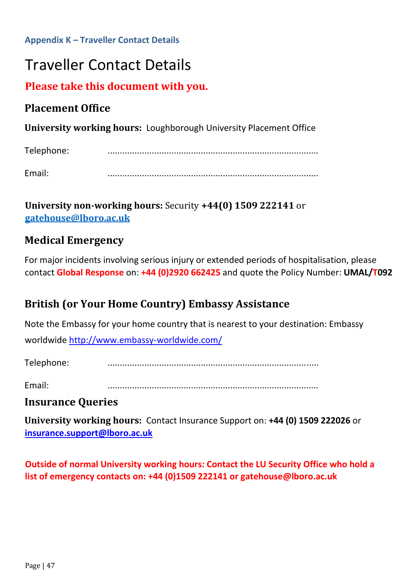<span id="page-46-0"></span>**Appendix K – Traveller Contact Details** 

# Traveller Contact Details

# **Please take this document with you.**

# **Placement Office**

**University working hours:** Loughborough University Placement Office

Telephone: ......................................................................................

Email: ......................................................................................

**University non-working hours:** Security **+44(0) 1509 222141** or **[gatehouse@lboro.ac.uk](mailto:gatehouse@lboro.ac.uk)**

# **Medical Emergency**

For major incidents involving serious injury or extended periods of hospitalisation, please contact **Global Response** on: **+44 (0)2920 662425** and quote the Policy Number: **UMAL/T092** 

# **British (or Your Home Country) Embassy Assistance**

Note the Embassy for your home country that is nearest to your destination: Embassy

worldwide<http://www.embassy-worldwide.com/>

Telephone: ......................................................................................

Email: ......................................................................................

# **Insurance Queries**

**University working hours:** Contact Insurance Support on: **+44 (0) 1509 222026** or **insurance.support@lboro.ac.uk**

**Outside of normal University working hours: Contact the LU Security Office who hold a list of emergency contacts on: +44 (0)1509 222141 or gatehouse@lboro.ac.uk**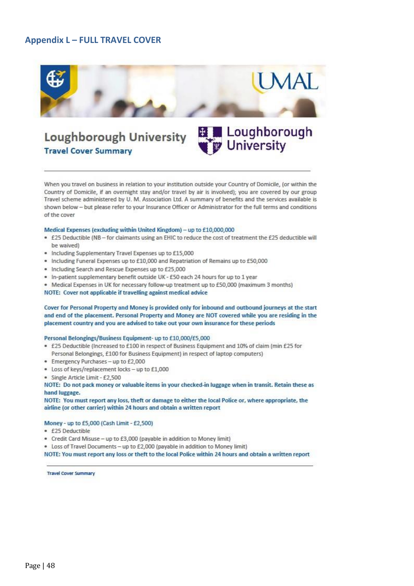## <span id="page-47-0"></span>**Appendix L – FULL TRAVEL COVER**



÷Π

**University** 

# Loughborough University **Travel Cover Summary**

When you travel on business in relation to your institution outside your Country of Domicile, (or within the Country of Domicile, if an overnight stay and/or travel by air is involved); you are covered by our group Travel scheme administered by U. M. Association Ltd. A summary of benefits and the services available is shown below - but please refer to your Insurance Officer or Administrator for the full terms and conditions of the cover

#### Medical Expenses (excluding within United Kingdom) - up to £10,000,000

- £25 Deductible (NB for claimants using an EHIC to reduce the cost of treatment the £25 deductible will be waived)
- · Including Supplementary Travel Expenses up to £15,000
- · Including Funeral Expenses up to £10,000 and Repatriation of Remains up to £50,000
- · Including Search and Rescue Expenses up to £25,000
- . In-patient supplementary benefit outside UK £50 each 24 hours for up to 1 year
- . Medical Expenses in UK for necessary follow-up treatment up to £50,000 (maximum 3 months)
- NOTE: Cover not applicable if travelling against medical advice

#### Cover for Personal Property and Money is provided only for inbound and outbound journeys at the start and end of the placement. Personal Property and Money are NOT covered while you are residing in the placement country and you are advised to take out your own insurance for these periods

#### Personal Belongings/Business Equipment- up to £10,000/£5,000

- . £25 Deductible (Increased to £100 in respect of Business Equipment and 10% of claim (min £25 for Personal Belongings, £100 for Business Equipment) in respect of laptop computers)
- · Emergency Purchases up to £2,000
- . Loss of keys/replacement locks up to £1,000
- · Single Article Limit £2,500

NOTE: Do not pack money or valuable items in your checked-in luggage when in transit. Retain these as hand luggage.

NOTE: You must report any loss, theft or damage to either the local Police or, where appropriate, the airline (or other carrier) within 24 hours and obtain a written report

#### Money - up to £5,000 (Cash Limit - £2,500)

- · £25 Deductible
- · Credit Card Misuse up to £3,000 (payable in addition to Money limit)
- . Loss of Travel Documents up to £2,000 (payable in addition to Money limit)

NOTE: You must report any loss or theft to the local Police within 24 hours and obtain a written report

**Travel Cover Summary**